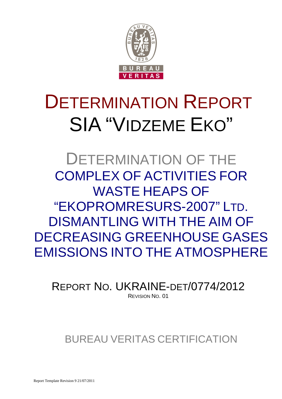

## DETERMINATION REPORT SIA "VIDZEME EKO"

DETERMINATION OF THE COMPLEX OF ACTIVITIES FOR WASTE HEAPS OF "EKOPROMRESURS-2007" LTD. DISMANTLING WITH THE AIM OF DECREASING GREENHOUSE GASES EMISSIONS INTO THE ATMOSPHERE

REPORT NO. UKRAINE-DET/0774/2012 REVISION NO. 01

BUREAU VERITAS CERTIFICATION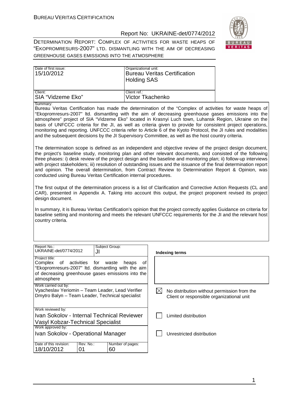

DETERMINATION REPORT: COMPLEX OF ACTIVITIES FOR WASTE HEAPS OF "EKOPROMRESURS-2007" LTD. DISMANTLING WITH THE AIM OF DECREASING GREENHOUSE GASES EMISSIONS INTO THE ATMOSPHERE

| Date of first issue:<br>15/10/2012 | Organizational unit:<br>Bureau Veritas Certification<br><b>Holding SAS</b> |
|------------------------------------|----------------------------------------------------------------------------|
| Client:                            | Client ref.:                                                               |
| <b>SIA "Vidzeme Eko"</b>           | Victor Tkachenko                                                           |

Summary:

Bureau Veritas Certification has made the determination of the "Complex of activities for waste heaps of "Ekopromresurs-2007" ltd. dismantling with the aim of decreasing greenhouse gases emissions into the atmosphere" project of SIA "Vidzeme Eko" located in Krasnyi Luch town, Luhansk Region, Ukraine on the basis of UNFCCC criteria for the JI, as well as criteria given to provide for consistent project operations, monitoring and reporting. UNFCCC criteria refer to Article 6 of the Kyoto Protocol, the JI rules and modalities and the subsequent decisions by the JI Supervisory Committee, as well as the host country criteria.

The determination scope is defined as an independent and objective review of the project design document, the project's baseline study, monitoring plan and other relevant documents, and consisted of the following three phases: i) desk review of the project design and the baseline and monitoring plan; ii) follow-up interviews with project stakeholders; iii) resolution of outstanding issues and the issuance of the final determination report and opinion. The overall determination, from Contract Review to Determination Report & Opinion, was conducted using Bureau Veritas Certification internal procedures.

The first output of the determination process is a list of Clarification and Corrective Action Requests (CL and CAR), presented in Appendix A. Taking into account this output, the project proponent revised its project design document.

In summary, it is Bureau Veritas Certification's opinion that the project correctly applies Guidance on criteria for baseline setting and monitoring and meets the relevant UNFCCC requirements for the JI and the relevant host country criteria.

| Report No.:<br>UKRAINE-det/0774/2012                                                                                                               | JI                | Subject Group:                                                                           | Indexing terms       |
|----------------------------------------------------------------------------------------------------------------------------------------------------|-------------------|------------------------------------------------------------------------------------------|----------------------|
| Project title:<br>Complex<br>"Ekopromresurs-2007" Itd. dismantling with the aim<br>of decreasing greenhouse gases emissions into the<br>atmosphere | of activities for | waste<br>heaps<br>οt                                                                     |                      |
| Work carried out by:<br>Vyacheslav Yeriomin - Team Leader, Lead Verifier<br>Dmytro Balyn - Team Leader, Technical specialist                       |                   | No distribution without permission from the<br>Client or responsible organizational unit |                      |
| Work reviewed by:                                                                                                                                  |                   |                                                                                          |                      |
| Ivan Sokolov - Internal Technical Reviewer                                                                                                         |                   |                                                                                          | Limited distribution |
| Vasyl Kobzar-Technical Specialist                                                                                                                  |                   |                                                                                          |                      |
| Work approved by:                                                                                                                                  |                   |                                                                                          |                      |
| Ivan Sokolov - Operational Manager                                                                                                                 |                   | Unrestricted distribution                                                                |                      |
| Date of this revision:<br>18/10/2012                                                                                                               | Rev. No.:<br>01   | Number of pages:<br>60                                                                   |                      |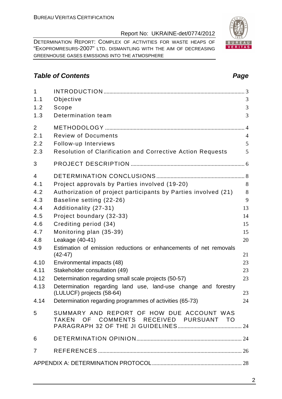DETERMINATION REPORT: COMPLEX OF ACTIVITIES FOR WASTE HEAPS OF "EKOPROMRESURS-2007" LTD. DISMANTLING WITH THE AIM OF DECREASING GREENHOUSE GASES EMISSIONS INTO THE ATMOSPHERE

#### **Table of Contents Page 2014**

| $\mathbf{1}$   |                                                                                     |                |
|----------------|-------------------------------------------------------------------------------------|----------------|
| 1.1            | Objective                                                                           | 3              |
| 1.2            | Scope                                                                               | 3              |
| 1.3            | Determination team                                                                  | 3              |
| 2              |                                                                                     | $\overline{4}$ |
| 2.1            | <b>Review of Documents</b>                                                          | $\overline{4}$ |
| 2.2            | Follow-up Interviews                                                                | 5              |
| 2.3            | <b>Resolution of Clarification and Corrective Action Requests</b>                   | 5              |
| 3              |                                                                                     |                |
| $\overline{4}$ |                                                                                     |                |
| 4.1            | Project approvals by Parties involved (19-20)                                       | 8              |
| 4.2            | Authorization of project participants by Parties involved (21)                      | 8              |
| 4.3            | Baseline setting (22-26)                                                            | 9              |
| 4.4            | Additionality (27-31)                                                               | 13             |
| 4.5            | Project boundary (32-33)                                                            | 14             |
| 4.6            | Crediting period (34)                                                               | 15             |
| 4.7            | Monitoring plan (35-39)                                                             | 15             |
| 4.8            | Leakage (40-41)                                                                     | 20             |
| 4.9            | Estimation of emission reductions or enhancements of net removals<br>$(42-47)$      | 21             |
| 4.10           | Environmental impacts (48)                                                          | 23             |
| 4.11           | Stakeholder consultation (49)                                                       | 23             |
| 4.12           | Determination regarding small scale projects (50-57)                                | 23             |
| 4.13           | Determination regarding land use, land-use change and forestry                      |                |
|                | (LULUCF) projects (58-64)                                                           | 23             |
| 4.14           | Determination regarding programmes of activities (65-73)                            | 24             |
| 5              | SUMMARY AND REPORT OF HOW DUE ACCOUNT WAS<br>TAKEN OF COMMENTS RECEIVED PURSUANT TO |                |
| 6              |                                                                                     |                |
| $\overline{7}$ |                                                                                     |                |
|                |                                                                                     |                |
|                |                                                                                     |                |

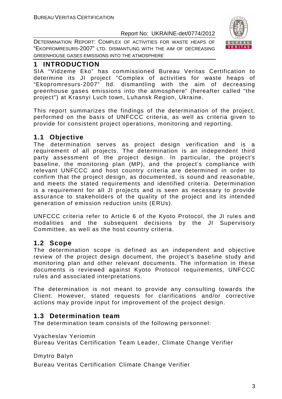

DETERMINATION REPORT: COMPLEX OF ACTIVITIES FOR WASTE HEAPS OF "EKOPROMRESURS-2007" LTD. DISMANTLING WITH THE AIM OF DECREASING GREENHOUSE GASES EMISSIONS INTO THE ATMOSPHERE

#### **1 INTRODUCTION**

SIA "Vidzeme Eko" has commissioned Bureau Veritas Certification to determine its JI project "Complex of activities for waste heaps of "Ekopromresurs-2007" ltd. dismantling with the aim of decreasing greenhouse gases emissions into the atmosphere" (hereafter called "the project") at Krasnyi Luch town, Luhansk Region, Ukraine.

This report summarizes the findings of the determination of the project, performed on the basis of UNFCCC criteria, as well as criteria given to provide for consistent project operations, monitoring and reporting.

#### **1.1 Objective**

The determination serves as project design verification and is a requirement of all projects. The determination is an independent third party assessment of the project design. In particular, the project's baseline, the monitoring plan (MP), and the project's compliance with relevant UNFCCC and host country criteria are determined in order to confirm that the project design, as documented, is sound and reasonable, and meets the stated requirements and identified criteria. Determination is a requirement for all JI projects and is seen as necessary to provide assurance to stakeholders of the quality of the project and its intended generation of emission reduction units (ERUs).

UNFCCC criteria refer to Article 6 of the Kyoto Protocol, the JI rules and modalities and the subsequent decisions by the JI Supervisory Committee, as well as the host country criteria.

#### **1.2 Scope**

The determination scope is defined as an independent and objective review of the project design document, the project's baseline study and monitoring plan and other relevant documents. The information in these documents is reviewed against Kyoto Protocol requirements, UNFCCC rules and associated interpretations.

The determination is not meant to provide any consulting towards the Client. However, stated requests for clarifications and/or corrective actions may provide input for improvement of the project design.

#### **1.3 Determination team**

The determination team consists of the following personnel:

Vyacheslav Yeriomin

Bureau Veritas Certification Team Leader, Climate Change Verifier

Dmytro Balyn

Bureau Veritas Certification Climate Change Verifier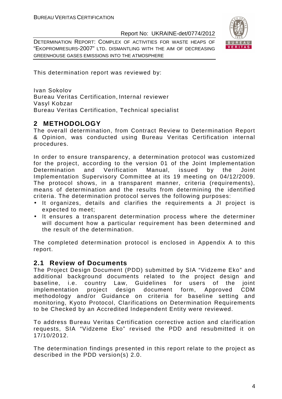DETERMINATION REPORT: COMPLEX OF ACTIVITIES FOR WASTE HEAPS OF "EKOPROMRESURS-2007" LTD. DISMANTLING WITH THE AIM OF DECREASING GREENHOUSE GASES EMISSIONS INTO THE ATMOSPHERE



This determination report was reviewed by:

Ivan Sokolov Bureau Veritas Certification, Internal reviewer Vasyl Kobzar Bureau Veritas Certification, Technical specialist

#### **2 METHODOLOGY**

The overall determination, from Contract Review to Determination Report & Opinion, was conducted using Bureau Veritas Certification internal procedures.

In order to ensure transparency, a determination protocol was customized for the project, according to the version 01 of the Joint Implementation Determination and Verification Manual, issued by the Joint Implementation Supervisory Committee at its 19 meeting on 04/12/2009. The protocol shows, in a transparent manner, criteria (requirements), means of determination and the results from determining the identified criteria. The determination protocol serves the following purposes:

- It organizes, details and clarifies the requirements a JI project is expected to meet;
- It ensures a transparent determination process where the determiner will document how a particular requirement has been determined and the result of the determination.

The completed determination protocol is enclosed in Appendix A to this report.

#### **2.1 Review of Documents**

The Project Design Document (PDD) submitted by SIA "Vidzeme Eko" and additional background documents related to the project design and baseline, i.e. country Law, Guidelines for users of the joint implementation project design document form, Approved CDM methodology and/or Guidance on criteria for baseline setting and monitoring, Kyoto Protocol, Clarifications on Determination Requirements to be Checked by an Accredited Independent Entity were reviewed.

To address Bureau Veritas Certification corrective action and clarification requests, SIA "Vidzeme Eko" revised the PDD and resubmitted it on 17/10/2012.

The determination findings presented in this report relate to the project as described in the PDD version(s) 2.0.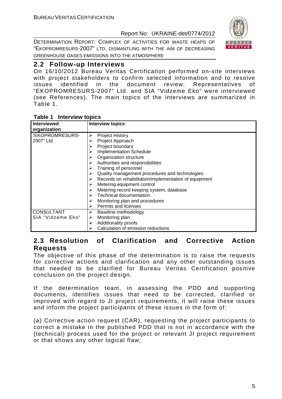DETERMINATION REPORT: COMPLEX OF ACTIVITIES FOR WASTE HEAPS OF "EKOPROMRESURS-2007" LTD. DISMANTLING WITH THE AIM OF DECREASING GREENHOUSE GASES EMISSIONS INTO THE ATMOSPHERE



#### **2.2 Follow-up Interviews**

On 16/10/2012 Bureau Veritas Certification performed on-site interviews with project stakeholders to confirm selected information and to resolve issues identified in the document review. Representatives of "EKOPROMRESURS-2007" Ltd. and SIA "Vidzeme Eko" were interviewed (see References). The main topics of the interviews are summarized in Table 1.

#### **Table 1 Interview topics**

| <b>Interviewed</b> | <b>Interview topics</b>                               |
|--------------------|-------------------------------------------------------|
| organization       |                                                       |
| "EKOPROMRESURS-    | <b>Project History</b><br>⋗                           |
| 2007" Ltd.         | Project Approach                                      |
|                    | Project boundary                                      |
|                    | <b>Implementation Schedule</b>                        |
|                    | Organization structure                                |
|                    | Authorities and responsibilities<br>➤                 |
|                    | Training of personnel<br>➤                            |
|                    | Quality management procedures and technologies        |
|                    | Records on rehabilitation/implementation of equipment |
|                    | Metering equipment control                            |
|                    | Metering record keeping system, database              |
|                    | <b>Technical documentation</b><br>➤                   |
|                    | Monitoring plan and procedures                        |
|                    | Permits and licenses                                  |
| <b>CONSULTANT</b>  | Baseline methodology                                  |
| SIA "Vidzeme Eko"  | Monitoring plan<br>⋗                                  |
|                    | Additionality proofs<br>⋗                             |
|                    | Calculation of emission reductions                    |

#### **2.3 Resolution of Clarification and Corrective Action Requests**

The objective of this phase of the determination is to raise the requests for corrective actions and clarification and any other outstanding issues that needed to be clarified for Bureau Veritas Certification positive conclusion on the project design.

If the determination team, in assessing the PDD and supporting documents, identifies issues that need to be corrected, clarified or improved with regard to JI project requirements, it will raise these issues and inform the project participants of these issues in the form of:

(a) Corrective action request (CAR), requesting the project participants to correct a mistake in the published PDD that is not in accordance with the (technical) process used for the project or relevant JI project requirement or that shows any other logical flaw;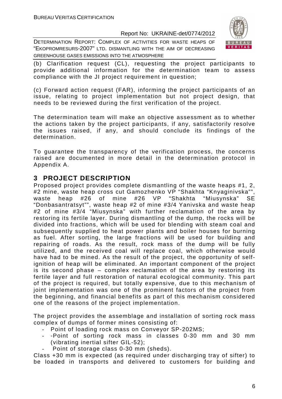DETERMINATION REPORT: COMPLEX OF ACTIVITIES FOR WASTE HEAPS OF "EKOPROMRESURS-2007" LTD. DISMANTLING WITH THE AIM OF DECREASING GREENHOUSE GASES EMISSIONS INTO THE ATMOSPHERE



(b) Clarification request (CL), requesting the project participants to provide additional information for the determination team to assess compliance with the JI project requirement in question;

(c) Forward action request (FAR), informing the project participants of an issue, relating to project implementation but not project design, that needs to be reviewed during the first verification of the project.

The determination team will make an objective assessment as to whether the actions taken by the project participants, if any, satisfactorily resolve the issues raised, if any, and should conclude its findings of the determination.

To guarantee the transparency of the verification process, the concerns raised are documented in more detail in the determination protocol in Appendix A.

#### **3 PROJECT DESCRIPTION**

Proposed project provides complete dismantling of the waste heaps #1, 2, #2 mine, waste heap cross cut Gamozhenko VP "Shakhta "Knyaginivska"", waste heap #26 of mine #26 VP "Shakhta "Miusynska" SE "Donbasantratsyt"", waste heap #2 of mine #3/4 Yanivska and waste heap #2 of mine #3/4 "Miusynska" with further reclamation of the area by restoring its fertile layer. During dismantling of the dump, the rocks will be divided into fractions, which will be used for blending with steam coal and subsequently supplied to heat power plants and boiler houses for burning as fuel. After sorting, the large fractions will be used for building and repairing of roads. As the result, rock mass of the dump will be fully utilized, and the received coal will replace coal, which otherwise would have had to be mined. As the result of the project, the opportunity of selfignition of heap will be eliminated. An important component of the project is its second phase – complex reclamation of the area by restoring its fertile layer and full restoration of natural ecological community. This part of the project is required, but totally expensive, due to this mechanism of joint implementation was one of the prominent factors of the project from the beginning, and financial benefits as part of this mechanism considered one of the reasons of the project implementation.

The project provides the assemblage and installation of sorting rock mass complex of dumps of former mines consisting of:

- Point of loading rock mass on Conveyor SP-202MS;
- -Point of sorting rock mass in classes 0-30 mm and 30 mm (vibrating inertial sifter GIL-52);
	- Point of storage class 0-30 mm (sheds).

Class +30 mm is expected (as required under discharging tray of sifter) to be loaded in transports and delivered to customers for building and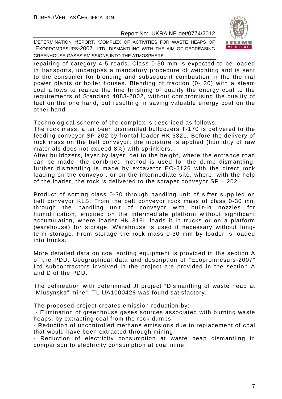



repairing of category 4-5 roads. Class 0-30 mm is expected to be loaded in transports, undergoes a mandatory procedure of weighting and is sent to the consumer for blending and subsequent combustion in the thermal power plants or boiler houses. Blending of fraction (0- 30) with a steam coal allows to realize the fine finishing of quality the energy coal to the requirements of Standard 4083-2002, without compromising the quality of fuel on the one hand, but resulting in saving valuable energy coal on the other hand

Technological scheme of the complex is described as follows:

The rock mass, after been dismantled bulldozers T-170 is delivered to the feeding conveyor SP-202 by frontal loader HK 632L. Before the delivery of rock mass on the belt conveyor, the moisture is applied (humidity of raw materials does not exceed 8%) with sprinklers.

After bulldozers, layer by layer, get to the height, where the entrance road can be made- the combined method is used for the dump dismantling; further dismantling is made by excavator EO-5126 with the direct rock loading on the conveyor, or on the intermediate site, where, with the help of the loader, the rock is delivered to the scraper conveyor SP – 202

Product of sorting class 0-30 through handling unit of sifter supplied on belt conveyor KLS. From the belt conveyor rock mass of class 0-30 mm through the handling unit of conveyor with built-in nozzles for humidification, emptied on the intermediate platform without significant accumulation, where loader HK 319L loads it in trucks or on a platform (warehouse) for storage. Warehouse is used if necessary without longterm storage. From storage the rock mass 0-30 mm by loader is loaded into trucks.

More detailed data on coal sorting equipment is provided in the section A of the PDD. Geographical data and description of "Ecopromresurs-2007" Ltd subcontractors involved in the project are provided in the section A and D of the PDD.

The delineation with determined JI project "Dismantling of waste heap at "Miusynska" mine" ITL UA1000428 was found satisfactory.

The proposed project creates emission reduction by:

 - Elimination of greenhouse gases sources associated with burning waste heaps, by extracting coal from the rock dumps;

- Reduction of uncontrolled methane emissions due to replacement of coal that would have been extracted through mining;

- Reduction of electricity consumption at waste heap dismantling in comparison to electricity consumption at coal mine.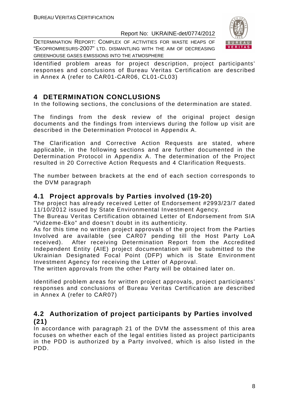DETERMINATION REPORT: COMPLEX OF ACTIVITIES FOR WASTE HEAPS OF "EKOPROMRESURS-2007" LTD. DISMANTLING WITH THE AIM OF DECREASING GREENHOUSE GASES EMISSIONS INTO THE ATMOSPHERE



Identified problem areas for project description, project participants' responses and conclusions of Bureau Veritas Certification are described in Annex A (refer to CAR01-CAR06, CL01-CL03)

### **4 DETERMINATION CONCLUSIONS**

In the following sections, the conclusions of the determination are stated.

The findings from the desk review of the original project design documents and the findings from interviews during the follow up visit are described in the Determination Protocol in Appendix A.

The Clarification and Corrective Action Requests are stated, where applicable, in the following sections and are further documented in the Determination Protocol in Appendix A. The determination of the Project resulted in 20 Corrective Action Requests and 4 Clarification Requests.

The number between brackets at the end of each section corresponds to the DVM paragraph

#### **4.1 Project approvals by Parties involved (19-20)**

The project has already received Letter of Endorsement #2993/23/7 dated 11/10/2012 issued by State Environmental Investment Agency.

The Bureau Veritas Certification obtained Letter of Endorsement from SIA "Vidzeme-Eko" and doesn't doubt in its authenticity.

As for this time no written project approvals of the project from the Parties Involved are available (see CAR07 pending till the Host Party LoA received). After receiving Determination Report from the Accredited Independent Entity (AIE) project documentation will be submitted to the Ukrainian Designated Focal Point (DFP) which is State Environment Investment Agency for receiving the Letter of Approval.

The written approvals from the other Party will be obtained later on.

Identified problem areas for written project approvals, project participants' responses and conclusions of Bureau Veritas Certification are described in Annex A (refer to CAR07)

#### **4.2 Authorization of project participants by Parties involved (21)**

In accordance with paragraph 21 of the DVM the assessment of this area focuses on whether each of the legal entities listed as project participants in the PDD is authorized by a Party involved, which is also listed in the PDD.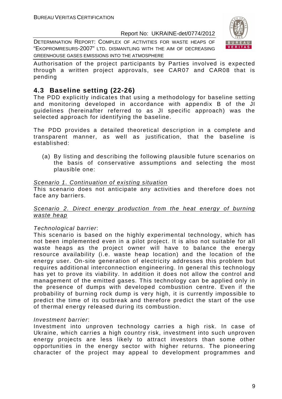DETERMINATION REPORT: COMPLEX OF ACTIVITIES FOR WASTE HEAPS OF "EKOPROMRESURS-2007" LTD. DISMANTLING WITH THE AIM OF DECREASING GREENHOUSE GASES EMISSIONS INTO THE ATMOSPHERE



Authorisation of the project participants by Parties involved is expected through a written project approvals, see CAR07 and CAR08 that is pending

#### **4.3 Baseline setting (22-26)**

The PDD explicitly indicates that using a methodology for baseline setting and monitoring developed in accordance with appendix B of the JI guidelines (hereinafter referred to as JI specific approach) was the selected approach for identifying the baseline.

The PDD provides a detailed theoretical description in a complete and transparent manner, as well as justification, that the baseline is established:

(a) By listing and describing the following plausible future scenarios on the basis of conservative assumptions and selecting the most plausible one:

#### Scenario 1. Continuation of existing situation

This scenario does not anticipate any activities and therefore does not face any barriers.

#### Scenario 2. Direct energy production from the heat energy of burning waste heap

#### Technological barrier:

This scenario is based on the highly experimental technology, which has not been implemented even in a pilot project. It is also not suitable for all waste heaps as the project owner will have to balance the energy resource availability (i.e. waste heap location) and the location of the energy user. On-site generation of electricity addresses this problem but requires additional interconnection engineering. In general this technology has yet to prove its viability. In addition it does not allow the control and management of the emitted gases. This technology can be applied only in the presence of dumps with developed combustion centre. Even if the probability of burning rock dump is very high, it is currently impossible to predict the time of its outbreak and therefore predict the start of the use of thermal energy released during its combustion.

#### Investment barrier:

Investment into unproven technology carries a high risk. In case of Ukraine, which carries a high country risk, investment into such unproven energy projects are less likely to attract investors than some other opportunities in the energy sector with higher returns. The pioneering character of the project may appeal to development programmes and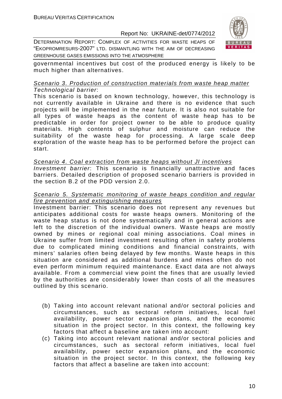DETERMINATION REPORT: COMPLEX OF ACTIVITIES FOR WASTE HEAPS OF "EKOPROMRESURS-2007" LTD. DISMANTLING WITH THE AIM OF DECREASING GREENHOUSE GASES EMISSIONS INTO THE ATMOSPHERE



governmental incentives but cost of the produced energy is likely to be much higher than alternatives.

#### Scenario 3. Production of construction materials from waste heap matter Technological barrier:

This scenario is based on known technology, however, this technology is not currently available in Ukraine and there is no evidence that such projects will be implemented in the near future. It is also not suitable for all types of waste heaps as the content of waste heap has to be predictable in order for project owner to be able to produce quality materials. High contents of sulphur and moisture can reduce the suitability of the waste heap for processing. A large scale deep exploration of the waste heap has to be performed before the project can start.

#### Scenario 4. Coal extraction from waste heaps without JI incentives Investment barrier: This scenario is financially unattractive and faces barriers. Detailed description of proposed scenario barriers is provided in the section B.2 of the PDD version 2.0.

#### Scenario 5. Systematic monitoring of waste heaps condition and regular fire prevention and extinguishing measures

Investment barrier: This scenario does not represent any revenues but anticipates additional costs for waste heaps owners. Monitoring of the waste heap status is not done systematically and in general actions are left to the discretion of the individual owners. Waste heaps are mostly owned by mines or regional coal mining associations. Coal mines in Ukraine suffer from limited investment resulting often in safety problems due to complicated mining conditions and financial constraints, with miners' salaries often being delayed by few months. Waste heaps in this situation are considered as additional burdens and mines often do not even perform minimum required maintenance. Exact data are not always available. From a commercial view point the fines that are usually levied by the authorities are considerably lower than costs of all the measures outlined by this scenario.

- (b) Taking into account relevant national and/or sectoral policies and circumstances, such as sectoral reform initiatives, local fuel availability, power sector expansion plans, and the economic situation in the project sector. In this context, the following key factors that affect a baseline are taken into account:
- (c) Taking into account relevant national and/or sectoral policies and circumstances, such as sectoral reform initiatives, local fuel availability, power sector expansion plans, and the economic situation in the project sector. In this context, the following key factors that affect a baseline are taken into account: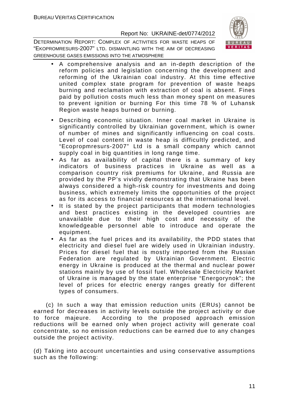

DETERMINATION REPORT: COMPLEX OF ACTIVITIES FOR WASTE HEAPS OF "EKOPROMRESURS-2007" LTD. DISMANTLING WITH THE AIM OF DECREASING GREENHOUSE GASES EMISSIONS INTO THE ATMOSPHERE

- A comprehensive analysis and an in-depth description of the reform policies and legislation concerning the development and reforming of the Ukrainian coal industry. At this time effective united complex state program for prevention of waste heaps burning and reclamation with extraction of coal is absent. Fines paid by pollution costs much less than money spent on measures to prevent ignition or burning For this time 78 % of Luhansk Region waste heaps burned or burning.
- Describing economic situation. Inner coal market in Ukraine is significantly controlled by Ukrainian government, which is owner of number of mines and significantly influencing on coal costs. Level of coal content in waste heap is difficultly predicted, and "Ecopropmresurs-2007" Ltd is a small company which cannot supply coal in big quantities in long range time.
- As far as availability of capital there is a summary of key indicators of business practices in Ukraine as well as a comparison country risk premiums for Ukraine, and Russia are provided by the PP's vividly demonstrating that Ukraine has been always considered a high-risk country for investments and doing business, which extremely limits the opportunities of the project as for its access to financial resources at the international level.
- It is stated by the project participants that modern technologies and best practices existing in the developed countries are unavailable due to their high cost and necessity of the knowledgeable personnel able to introduce and operate the equipment.
- As far as the fuel prices and its availability, the PDD states that electricity and diesel fuel are widely used in Ukrainian industry. Prices for diesel fuel that is mostly imported from the Russian Federation are regulated by Ukrainian Government. Electric energy in Ukraine is produced at the thermal and nuclear power stations mainly by use of fossil fuel. Wholesale Electricity Market of Ukraine is managed by the state enterprise "Energorynok"; the level of prices for electric energy ranges greatly for different types of consumers.

 (c) In such a way that emission reduction units (ERUs) cannot be earned for decreases in activity levels outside the project activity or due to force majeure. According to the proposed approach emission reductions will be earned only when project activity will generate coal concentrate, so no emission reductions can be earned due to any changes outside the project activity.

(d) Taking into account uncertainties and using conservative assumptions such as the following: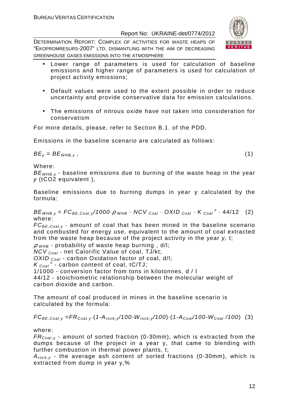DETERMINATION REPORT: COMPLEX OF ACTIVITIES FOR WASTE HEAPS OF "EKOPROMRESURS-2007" LTD. DISMANTLING WITH THE AIM OF DECREASING GREENHOUSE GASES EMISSIONS INTO THE ATMOSPHERE

- Lower range of parameters is used for calculation of baseline emissions and higher range of parameters is used for calculation of project activity emissions;
- Default values were used to the extent possible in order to reduce uncertainty and provide conservative data for emission calculations.
- The emissions of nitrous oxide have not taken into consideration for conservatism

For more details, please, refer to Section B.1. of the PDD.

Emissions in the baseline scenario are calculated as follows:

 $BE_v = BE_{WHB.v}$ , (1)

Where:

 $BE_{WHB,y}$  - baseline emissions due to burning of the waste heap in the year y (tCO2 equivalent ),

Baseline emissions due to burning dumps in year y calculated by the formula:

 $BE_{WHB,y} = FC_{BE,Coal,y}$ /1000 $\cdot \rho$  whe  $\cdot$  NCV  $_{Coal} \cdot$  OXID  $_{Coal} \cdot K_{Coal}^c \cdot$  44/12 (2) where:

 $FC_{BE, coal,v}$  - amount of coal that has been mined in the baseline scenario and combusted for energy use, equivalent to the amount of coal extracted from the waste heap because of the project activity in the year y, t;

 $\rho$  <sub>WHB</sub> - probability of waste heap burning, d/l;

NCV Coal - net Calorific Value of coal, TJ/kt;

OXID  $_{Coal}$  - carbon Oxidation factor of coal, d/l;

 $K_{\text{Coal}}^c$  - carbon content of coal, tC/TJ;

1/1000 - conversion factor from tons in kilotonnes, d / l

44/12 - stoichiometric relationship between the molecular weight of carbon dioxide and carbon.

The amount of coal produced in mines in the baseline scenario is calculated by the formula:

 $FC_{BE,Coal,y} = FR_{Coal,y} \cdot (1-A_{rock,y} / 100-W_{rock,y} / 100) \cdot (1-A_{Coal} / 100-W_{Coal} / 100)$  (3)

where:

 $FR_{\text{Coal,v}}$  - amount of sorted fraction (0-30mm), which is extracted from the dumps because of the project in a year y, that came to blending with further combustion in thermal power plants, t;

 $A_{rock, v}$  - the average ash content of sorted fractions (0-30mm), which is extracted from dump in year y,%

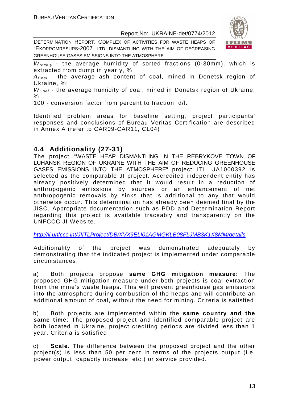DETERMINATION REPORT: COMPLEX OF ACTIVITIES FOR WASTE HEAPS OF "EKOPROMRESURS-2007" LTD. DISMANTLING WITH THE AIM OF DECREASING GREENHOUSE GASES EMISSIONS INTO THE ATMOSPHERE



 $W_{rock,y}$  - the average humidity of sorted fractions (0-30mm), which is extracted from dump in year y, %;

 $A_{Coal}$  - the average ash content of coal, mined in Donetsk region of Ukraine, %;

 $W_{Coal}$  - the average humidity of coal, mined in Donetsk region of Ukraine, %;

100 - conversion factor from percent to fraction, d/l.

Identified problem areas for baseline setting, project participants' responses and conclusions of Bureau Veritas Certification are described in Annex A (refer to CAR09-CAR11, CL04)

#### **4.4 Additionality (27-31)**

The project "WASTE HEAP DISMANTLING IN THE REBRYKOVE TOWN OF LUHANSK REGION OF UKRAINE WITH THE AIM OF REDUCING GREENHOUSE GASES EMISSIONS INTO THE ATMOSPHERE" project ITL UA1000392 is selected as the comparable JI project. Accredited independent entity has already positively determined that it would result in a reduction of anthropogenic emissions by sources or an enhancement of net anthropogenic removals by sinks that is additional to any that would otherwise occur. This determination has already been deemed final by the JISC. Appropriate documentation such as PDD and Determination Report regarding this project is available traceably and transparently on the UNFCCC JI Website.

http://ji.unfccc.int/JIITLProject/DB/XVX9ELI01AGMGKLB08FLJMB3K1X8MM/details

Additionality of the project was demonstrated adequately by demonstrating that the indicated project is implemented under comparable circumstances:

a) Both projects propose **same GHG mitigation measure:** The proposed GHG mitigation measure under both projects is coal extraction from the mine's waste heaps. This will prevent greenhouse gas emissions into the atmosphere during combustion of the heaps and will contribute an additional amount of coal, without the need for mining. Criteria is satisfied

b) Both projects are implemented within the **same country and the same time**: The proposed project and identified comparable project are both located in Ukraine, project crediting periods are divided less than 1 year. Criteria is satisfied

c) **Scale.** The difference between the proposed project and the other project(s) is less than 50 per cent in terms of the projects output (i.e. power output, capacity increase, etc.) or service provided.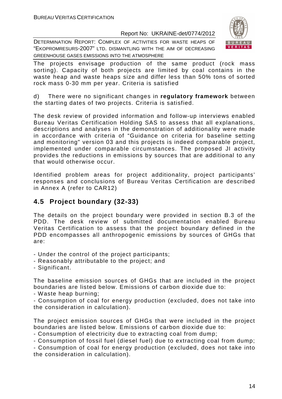DETERMINATION REPORT: COMPLEX OF ACTIVITIES FOR WASTE HEAPS OF "EKOPROMRESURS-2007" LTD. DISMANTLING WITH THE AIM OF DECREASING GREENHOUSE GASES EMISSIONS INTO THE ATMOSPHERE



The projects envisage production of the same product (rock mass sorting). Capacity of both projects are limited by coal contains in the waste heap and waste heaps size and differ less than 50% tons of sorted rock mass 0-30 mm per year. Criteria is satisfied

d) There were no significant changes in **regulatory framework** between the starting dates of two projects. Criteria is satisfied.

The desk review of provided information and follow-up interviews enabled Bureau Veritas Certification Holding SAS to assess that all explanations, descriptions and analyses in the demonstration of additionality were made in accordance with criteria of "Guidance on criteria for baseline setting and monitoring" version 03 and this projects is indeed comparable project, implemented under comparable circumstances. The proposed JI activity provides the reductions in emissions by sources that are additional to any that would otherwise occur.

Identified problem areas for project additionality, project participants' responses and conclusions of Bureau Veritas Certification are described in Annex A (refer to CAR12)

#### **4.5 Project boundary (32-33)**

The details on the project boundary were provided in section B.3 of the PDD. The desk review of submitted documentation enabled Bureau Veritas Certification to assess that the project boundary defined in the PDD encompasses all anthropogenic emissions by sources of GHGs that are:

- Under the control of the project participants;
- Reasonably attributable to the project; and
- Significant.

The baseline emission sources of GHGs that are included in the project boundaries are listed below. Emissions of carbon dioxide due to:

- Waste heap burning;

- Consumption of coal for energy production (excluded, does not take into the consideration in calculation).

The project emission sources of GHGs that were included in the project boundaries are listed below. Emissions of carbon dioxide due to:

- Consumption of electricity due to extracting coal from dump;

- Consumption of fossil fuel (diesel fuel) due to extracting coal from dump;

- Consumption of coal for energy production (excluded, does not take into the consideration in calculation).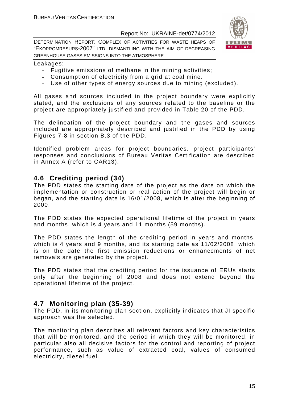

DETERMINATION REPORT: COMPLEX OF ACTIVITIES FOR WASTE HEAPS OF "EKOPROMRESURS-2007" LTD. DISMANTLING WITH THE AIM OF DECREASING GREENHOUSE GASES EMISSIONS INTO THE ATMOSPHERE

#### Leakages:

- Fugitive emissions of methane in the mining activities;
- Consumption of electricity from a grid at coal mine.
- Use of other types of energy sources due to mining (excluded).

All gases and sources included in the project boundary were explicitly stated, and the exclusions of any sources related to the baseline or the project are appropriately justified and provided in Table 20 of the PDD.

The delineation of the project boundary and the gases and sources included are appropriately described and justified in the PDD by using Figures 7-8 in section B.3 of the PDD.

Identified problem areas for project boundaries, project participants' responses and conclusions of Bureau Veritas Certification are described in Annex A (refer to CAR13).

#### **4.6 Crediting period (34)**

The PDD states the starting date of the project as the date on which the implementation or construction or real action of the project will begin or began, and the starting date is 16/01/2008, which is after the beginning of 2000.

The PDD states the expected operational lifetime of the project in years and months, which is 4 years and 11 months (59 months).

The PDD states the length of the crediting period in years and months, which is 4 years and 9 months, and its starting date as 11/02/2008, which is on the date the first emission reductions or enhancements of net removals are generated by the project.

The PDD states that the crediting period for the issuance of ERUs starts only after the beginning of 2008 and does not extend beyond the operational lifetime of the project.

#### **4.7 Monitoring plan (35-39)**

The PDD, in its monitoring plan section, explicitly indicates that JI specific approach was the selected.

The monitoring plan describes all relevant factors and key characteristics that will be monitored, and the period in which they will be monitored, in particular also all decisive factors for the control and reporting of project performance, such as value of extracted coal, values of consumed electricity, diesel fuel.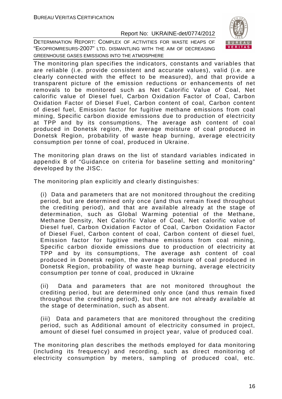

DETERMINATION REPORT: COMPLEX OF ACTIVITIES FOR WASTE HEAPS OF "EKOPROMRESURS-2007" LTD. DISMANTLING WITH THE AIM OF DECREASING GREENHOUSE GASES EMISSIONS INTO THE ATMOSPHERE

The monitoring plan specifies the indicators, constants and variables that are reliable (i.e. provide consistent and accurate values), valid (i.e. are clearly connected with the effect to be measured), and that provide a transparent picture of the emission reductions or enhancements of net removals to be monitored such as Net Calorific Value of Coal, Net calorific value of Diesel fuel, Carbon Oxidation Factor of Coal, Carbon Oxidation Factor of Diesel Fuel, Carbon content of coal, Carbon content of diesel fuel, Emission factor for fugitive methane emissions from coal mining, Specific carbon dioxide emissions due to production of electricity at TPP and by its consumptions, The average ash content of coal produced in Donetsk region, the average moisture of coal produced in Donetsk Region, probability of waste heap burning, average electricity consumption per tonne of coal, produced in Ukraine.

The monitoring plan draws on the list of standard variables indicated in appendix B of "Guidance on criteria for baseline setting and monitoring" developed by the JISC.

The monitoring plan explicitly and clearly distinguishes:

(i) Data and parameters that are not monitored throughout the crediting period, but are determined only once (and thus remain fixed throughout the crediting period), and that are available already at the stage of determination, such as Global Warming potential of the Methane, Methane Density, Net Calorific Value of Coal, Net calorific value of Diesel fuel, Carbon Oxidation Factor of Coal, Carbon Oxidation Factor of Diesel Fuel, Carbon content of coal, Carbon content of diesel fuel, Emission factor for fugitive methane emissions from coal mining, Specific carbon dioxide emissions due to production of electricity at TPP and by its consumptions, The average ash content of coal produced in Donetsk region, the average moisture of coal produced in Donetsk Region, probability of waste heap burning, average electricity consumption per tonne of coal, produced in Ukraine

(ii) Data and parameters that are not monitored throughout the crediting period, but are determined only once (and thus remain fixed throughout the crediting period), but that are not already available at the stage of determination, such as absent.

(iii) Data and parameters that are monitored throughout the crediting period, such as Additional amount of electricity consumed in project, amount of diesel fuel consumed in project year, value of produced coal.

The monitoring plan describes the methods employed for data monitoring (including its frequency) and recording, such as direct monitoring of electricity consumption by meters, sampling of produced coal, etc.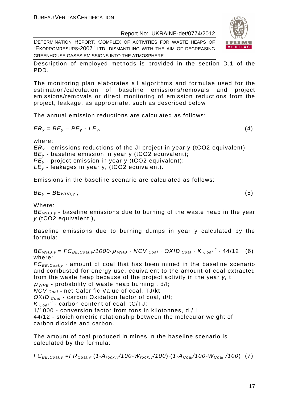DETERMINATION REPORT: COMPLEX OF ACTIVITIES FOR WASTE HEAPS OF "EKOPROMRESURS-2007" LTD. DISMANTLING WITH THE AIM OF DECREASING GREENHOUSE GASES EMISSIONS INTO THE ATMOSPHERE



Description of employed methods is provided in the section D.1 of the PDD.

The monitoring plan elaborates all algorithms and formulae used for the estimation/calculation of baseline emissions/removals and project emissions/removals or direct monitoring of emission reductions from the project, leakage, as appropriate, such as described below

The annual emission reductions are calculated as follows:

$$
ER_y = BE_y - PE_y - LE_y, \tag{4}
$$

where:

 $ER<sub>v</sub>$  - emissions reductions of the JI project in year y (tCO2 equivalent);  $BE<sub>y</sub>$  - baseline emission in year y (tCO2 equivalent);  $PE_v$  - project emission in year y (tCO2 equivalent);  $LE_v$  - leakages in year y, (tCO2 equivalent).

Emissions in the baseline scenario are calculated as follows:

$$
BE_y = BE_{WHB,y}, \t\t(5)
$$

Where:

 $BE<sub>WHB-V</sub>$  - baseline emissions due to burning of the waste heap in the year y (tCO2 equivalent ),

Baseline emissions due to burning dumps in year y calculated by the formula:

 $BE_{WHB,y} = FC_{BE,Coal,y}$ /1000 $\rho_{WHB}$  · NCV  $_{Coal}$  · OXID  $_{Coal}$  · K  $_{Coal}$  <sup>c</sup> · 44/12 (6) where:

 $FC_{BE, coal,v}$  - amount of coal that has been mined in the baseline scenario and combusted for energy use, equivalent to the amount of coal extracted from the waste heap because of the project activity in the year y, t;

 $\rho$  w<sub>HB</sub> - probability of waste heap burning, d/l;

 $NCV_{Coal}$  - net Calorific Value of coal, TJ/kt;

OXID  $_{Coal}$  - carbon Oxidation factor of coal, d/l;

 $K_{\text{Coal}}^{\text{c}}$  - carbon content of coal, tC/TJ;

1/1000 - conversion factor from tons in kilotonnes, d / l

44/12 - stoichiometric relationship between the molecular weight of carbon dioxide and carbon.

The amount of coal produced in mines in the baseline scenario is calculated by the formula:

 $FC_{BE,Coal,y} = FR_{Coal,y} (1-A_{rock,y}/100-W_{rock,y}/100) (1-A_{Coal}/100-W_{Coal}/100)$  (7)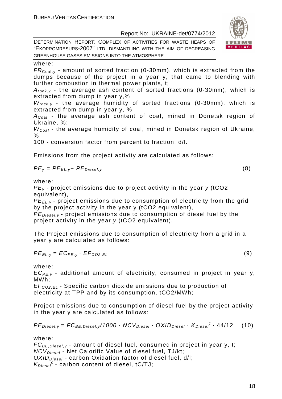DETERMINATION REPORT: COMPLEX OF ACTIVITIES FOR WASTE HEAPS OF "EKOPROMRESURS-2007" LTD. DISMANTLING WITH THE AIM OF DECREASING GREENHOUSE GASES EMISSIONS INTO THE ATMOSPHERE

#### where:

 $FR_{\text{Coal},v}$  - amount of sorted fraction (0-30mm), which is extracted from the dumps because of the project in a year y, that came to blending with further combustion in thermal power plants, t;

 $A_{rock, v}$  - the average ash content of sorted fractions (0-30mm), which is extracted from dump in year y,%

 $W_{rock, v}$  - the average humidity of sorted fractions (0-30mm), which is extracted from dump in year y, %;

 $A_{Coal}$  - the average ash content of coal, mined in Donetsk region of Ukraine, %;

 $W_{Coal}$  - the average humidity of coal, mined in Donetsk region of Ukraine, %;

100 - conversion factor from percent to fraction, d/l.

Emissions from the project activity are calculated as follows:

$$
PE_y = PE_{EL,y} + PE_{Diesel,y}
$$
 (8)

where:

 $PE<sub>v</sub>$  - project emissions due to project activity in the year  $v$  (tCO2 equivalent),

PE<sub>EL,y</sub> - project emissions due to consumption of electricity from the grid by the project activity in the year y (tCO2 equivalent),

 $PE_{\text{Diesel},v}$  - project emissions due to consumption of diesel fuel by the project activity in the year y (tCO2 equivalent).

The Project emissions due to consumption of electricity from a grid in a year y are calculated as follows:

$$
PE_{EL,y} = EC_{PE,y} \cdot EF_{CO2,EL}
$$
 (9)

where:

 $EC_{PE, v}$  - additional amount of electricity, consumed in project in year y, MWh;

EF<sup>C</sup>*О*2,EL - Specific carbon dioxide emissions due to production of electricity at TPP and by its consumption, tCO2/MWh;

Project emissions due to consumption of diesel fuel by the project activity in the year y are calculated as follows:

$$
PEDiesel,y = FCBE,Diesel,y/1000 \cdot NCVDiesel \cdot OXIDDiesel \cdot KDiesel \cdot 44/12
$$
 (10)

where:

 $FC_{BE, Diesel, v}$  - amount of diesel fuel, consumed in project in year y, t;  $NCV_{Diesel}$  - Net Calorific Value of diesel fuel, TJ/kt;  $OXID<sub>Diesel</sub>$  - carbon Oxidation factor of diesel fuel, d/l;  $K_{Diesel}^c$  - carbon content of diesel, tC/TJ;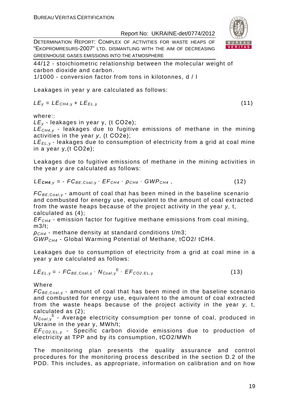DETERMINATION REPORT: COMPLEX OF ACTIVITIES FOR WASTE HEAPS OF "EKOPROMRESURS-2007" LTD. DISMANTLING WITH THE AIM OF DECREASING GREENHOUSE GASES EMISSIONS INTO THE ATMOSPHERE

44/12 - stoichiometric relationship between the molecular weight of carbon dioxide and carbon.

1/1000 - conversion factor from tons in kilotonnes, d / l

Leakages in year y are calculated as follows:

$$
LE_y = LE_{CH4,y} + LE_{EL,y}
$$
 (11)

where::

 $LE_v$  - leakages in year y, (t CO2e);

 $LE<sub>CH4,V</sub>$  - leakages due to fugitive emissions of methane in the mining activities in the year y, (t СО2е);

 $LE_{EL, y}$  - leakages due to consumption of electricity from a grid at coal mine in a year y,(t СО2е);

Leakages due to fugitive emissions of methane in the mining activities in the year y are calculated as follows:

$$
LE_{\text{CH4},y} = -FC_{BE,Coal,y} \cdot EF_{CH4} \cdot \rho_{CH4} \cdot GWP_{CH4}, \qquad (12)
$$

 $FC_{BE, coal,v}$  - amount of coal that has been mined in the baseline scenario and combusted for energy use, equivalent to the amount of coal extracted from the waste heaps because of the project activity in the year y, t, calculated as (4);

 $EF<sub>CH4</sub>$  - emission factor for fugitive methane emissions from coal mining, m3/t;

 $\rho_{CH4}$  - methane density at standard conditions t/m3;

GWPCH4 - Global Warming Potential of Methane, tСО2/ tСН4.

Leakages due to consumption of electricity from a grid at coal mine in a year y are calculated as follows:

$$
LE_{EL,y} = -FC_{BE,Coal,y} \cdot N_{Coal,y}^{E} \cdot EF_{CO2,EL,y}
$$
 (13)

Where

 $FC_{BE, coal,v}$  - amount of coal that has been mined in the baseline scenario and combusted for energy use, equivalent to the amount of coal extracted from the waste heaps because of the project activity in the year y, t, calculated as (2);

N<sub>Coal,y</sub><sup>E</sup> - Average electricity consumption per tonne of coal, produced in Ukraine in the year y, MWh/t;

EF<sup>C</sup>*О*2,EL, <sup>у</sup> - Specific carbon dioxide emissions due to production of electricity at TPP and by its consumption, tСО2/MWh

The monitoring plan presents the quality assurance and control procedures for the monitoring process described in the section D.2 of the PDD. This includes, as appropriate, information on calibration and on how

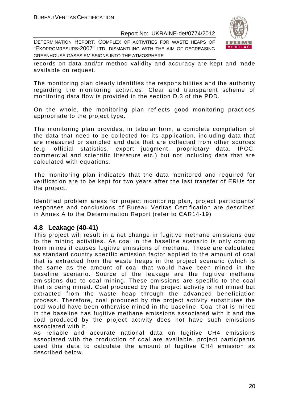DETERMINATION REPORT: COMPLEX OF ACTIVITIES FOR WASTE HEAPS OF "EKOPROMRESURS-2007" LTD. DISMANTLING WITH THE AIM OF DECREASING GREENHOUSE GASES EMISSIONS INTO THE ATMOSPHERE



records on data and/or method validity and accuracy are kept and made available on request.

The monitoring plan clearly identifies the responsibilities and the authority regarding the monitoring activities. Clear and transparent scheme of monitoring data flow is provided in the section D.3 of the PDD.

On the whole, the monitoring plan reflects good monitoring practices appropriate to the project type.

The monitoring plan provides, in tabular form, a complete compilation of the data that need to be collected for its application, including data that are measured or sampled and data that are collected from other sources (e.g. official statistics, expert judgment, proprietary data, IPCC, commercial and scientific literature etc.) but not including data that are calculated with equations.

The monitoring plan indicates that the data monitored and required for verification are to be kept for two years after the last transfer of ERUs for the project.

Identified problem areas for project monitoring plan, project participants' responses and conclusions of Bureau Veritas Certification are described in Annex A to the Determination Report (refer to CAR14-19)

#### **4.8 Leakage (40-41)**

This project will result in a net change in fugitive methane emissions due to the mining activities. As coal in the baseline scenario is only coming from mines it causes fugitive emissions of methane. These are calculated as standard country specific emission factor applied to the amount of coal that is extracted from the waste heaps in the project scenario (which is the same as the amount of coal that would have been mined in the baseline scenario. Source of the leakage are the fugitive methane emissions due to coal mining. These emissions are specific to the coal that is being mined. Coal produced by the project activity is not mined but extracted from the waste heap through the advanced beneficiation process. Therefore, coal produced by the project activity substitutes the coal would have been otherwise mined in the baseline. Coal that is mined in the baseline has fugitive methane emissions associated with it and the coal produced by the project activity does not have such emissions associated with it.

As reliable and accurate national data on fugitive CH4 emissions associated with the production of coal are available, project participants used this data to calculate the amount of fugitive CH4 emission as described below.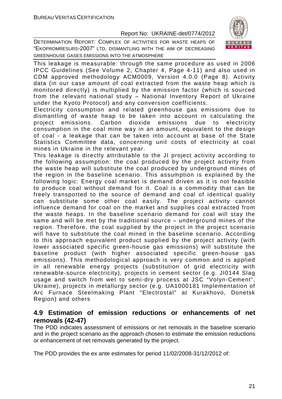

DETERMINATION REPORT: COMPLEX OF ACTIVITIES FOR WASTE HEAPS OF "EKOPROMRESURS-2007" LTD. DISMANTLING WITH THE AIM OF DECREASING GREENHOUSE GASES EMISSIONS INTO THE ATMOSPHERE

This leakage is measurable: through the same procedure as used in 2006 IPCC Guidelines (See Volume 2, Chapter 4, Page 4-11) and also used in CDM approved methodology ACM0009, Version 4.0.0 (Page 8). Activity data (in our case amount of coal extracted from the waste heap which is monitored directly) is multiplied by the emission factor (which is sourced from the relevant national study – National Inventory Report of Ukraine under the Kyoto Protocol) and any conversion coefficients.

Electricity consumption and related greenhouse gas emissions due to dismantling of waste heap to be taken into account in calculating the project emissions. Carbon dioxide emissions due to electricity consumption in the coal mine way in an amount, equivalent to the design of coal - a leakage that can be taken into account at base of the State Statistics Committee data, concerning unit costs of electricity at coal mines in Ukraine in the relevant year.

This leakage is directly attributable to the JI project activity according to the following assumption: the coal produced by the project activity from the waste heap will substitute the coal produced by underground mines of the region in the baseline scenario. This assumption is explained by the following logic: Energy coal market is demand driven as it is not feasible to produce coal without demand for it. Coal is a commodity that can be freely transported to the source of demand and coal of identical quality can substitute some other coal easily. The project activity cannot influence demand for coal on the market and supplies coal extracted from the waste heaps. In the baseline scenario demand for coal will stay the same and will be met by the traditional source – underground mines of the region. Therefore, the coal supplied by the project in the project scenario will have to substitute the coal mined in the baseline scenario. According to this approach equivalent product supplied by the project activity (with lower associated specific green-house gas emissions) will substitute the baseline product (with higher associated specific green-house gas emissions). This methodological approach is very common and is applied in all renewable energy projects (substitution of grid electricity with renewable-source electricity), projects in cement sector (e.g. JI0144 Slag usage and switch from wet to semi-dry process at JSC "Volyn-Cement", Ukraine), projects in metallurgy sector (e.g. UA1000181 Implementation of Arc Furnace Steelmaking Plant "Electrostal" at Kurakhovo, Donetsk Region) and others

#### **4.9 Estimation of emission reductions or enhancements of net removals (42-47)**

The PDD indicates assessment of emissions or net removals in the baseline scenario and in the project scenario as the approach chosen to estimate the emission reductions or enhancement of net removals generated by the project.

The PDD provides the ex ante estimates for period 11/02/2008-31/12/2012 of: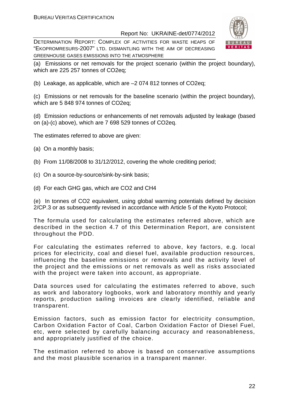DETERMINATION REPORT: COMPLEX OF ACTIVITIES FOR WASTE HEAPS OF "EKOPROMRESURS-2007" LTD. DISMANTLING WITH THE AIM OF DECREASING GREENHOUSE GASES EMISSIONS INTO THE ATMOSPHERE



(a) Emissions or net removals for the project scenario (within the project boundary), which are 225 257 tonnes of CO2eq;

(b) Leakage, as applicable, which are –2 074 812 tonnes of CO2eq;

(c) Emissions or net removals for the baseline scenario (within the project boundary), which are 5 848 974 tonnes of CO2eq:

(d) Emission reductions or enhancements of net removals adjusted by leakage (based on (a)-(c) above), which are 7 698 529 tonnes of CO2eq.

The estimates referred to above are given:

- (a) On a monthly basis;
- (b) From 11/08/2008 to 31/12/2012, covering the whole crediting period;
- (c) On a source-by-source/sink-by-sink basis;
- (d) For each GHG gas, which are CO2 and CH4

(e) In tonnes of CO2 equivalent, using global warming potentials defined by decision 2/CP.3 or as subsequently revised in accordance with Article 5 of the Kyoto Protocol;

The formula used for calculating the estimates referred above, which are described in the section 4.7 of this Determination Report, are consistent throughout the PDD.

For calculating the estimates referred to above, key factors, e.g. local prices for electricity, coal and diesel fuel, available production resources, influencing the baseline emissions or removals and the activity level of the project and the emissions or net removals as well as risks associated with the project were taken into account, as appropriate.

Data sources used for calculating the estimates referred to above, such as work and laboratory logbooks, work and laboratory monthly and yearly reports, production sailing invoices are clearly identified, reliable and transparent.

Emission factors, such as emission factor for electricity consumption, Carbon Oxidation Factor of Coal, Carbon Oxidation Factor of Diesel Fuel, etc, were selected by carefully balancing accuracy and reasonableness, and appropriately justified of the choice.

The estimation referred to above is based on conservative assumptions and the most plausible scenarios in a transparent manner.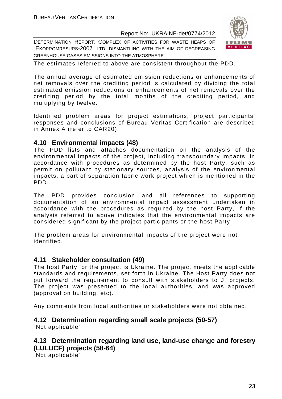DETERMINATION REPORT: COMPLEX OF ACTIVITIES FOR WASTE HEAPS OF "EKOPROMRESURS-2007" LTD. DISMANTLING WITH THE AIM OF DECREASING GREENHOUSE GASES EMISSIONS INTO THE ATMOSPHERE



The estimates referred to above are consistent throughout the PDD.

The annual average of estimated emission reductions or enhancements of net removals over the crediting period is calculated by dividing the total estimated emission reductions or enhancements of net removals over the crediting period by the total months of the crediting period, and multiplying by twelve.

Identified problem areas for project estimations, project participants' responses and conclusions of Bureau Veritas Certification are described in Annex A (refer to CAR20)

#### **4.10 Environmental impacts (48)**

The PDD lists and attaches documentation on the analysis of the environmental impacts of the project, including transboundary impacts, in accordance with procedures as determined by the host Party, such as permit on pollutant by stationary sources, analysis of the environmental impacts, a part of separation fabric work project which is mentioned in the PDD.

The PDD provides conclusion and all references to supporting documentation of an environmental impact assessment undertaken in accordance with the procedures as required by the host Party, if the analysis referred to above indicates that the environmental impacts are considered significant by the project participants or the host Party.

The problem areas for environmental impacts of the project were not identified.

#### **4.11 Stakeholder consultation (49)**

The host Party for the project is Ukraine. The project meets the applicable standards and requirements, set forth in Ukraine. The Host Party does not put forward the requirement to consult with stakeholders to JI projects. The project was presented to the local authorities, and was approved (approval on building, etc).

Any comments from local authorities or stakeholders were not obtained.

#### **4.12 Determination regarding small scale projects (50-57)**

"Not applicable"

#### **4.13 Determination regarding land use, land-use change and forestry (LULUCF) projects (58-64)**

"Not applicable"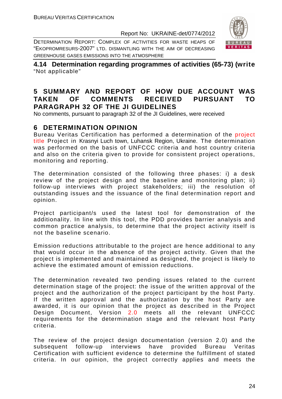DETERMINATION REPORT: COMPLEX OF ACTIVITIES FOR WASTE HEAPS OF "EKOPROMRESURS-2007" LTD. DISMANTLING WITH THE AIM OF DECREASING GREENHOUSE GASES EMISSIONS INTO THE ATMOSPHERE



**4.14 Determination regarding programmes of activities (65-73) (write**  "Not applicable"

#### **5 SUMMARY AND REPORT OF HOW DUE ACCOUNT WAS TAKEN OF COMMENTS RECEIVED PURSUANT TO PARAGRAPH 32 OF THE JI GUIDELINES**

No comments, pursuant to paragraph 32 of the JI Guidelines, were received

#### **6 DETERMINATION OPINION**

Bureau Veritas Certification has performed a determination of the project title Project in Krasnyi Luch town, Luhansk Region, Ukraine. The determination was performed on the basis of UNFCCC criteria and host country criteria and also on the criteria given to provide for consistent project operations, monitoring and reporting.

The determination consisted of the following three phases: i) a desk review of the project design and the baseline and monitoring plan; ii) follow-up interviews with project stakeholders; iii) the resolution of outstanding issues and the issuance of the final determination report and opinion.

Project participant/s used the latest tool for demonstration of the additionality. In line with this tool, the PDD provides barrier analysis and common practice analysis, to determine that the project activity itself is not the baseline scenario.

Emission reductions attributable to the project are hence additional to any that would occur in the absence of the project activity. Given that the project is implemented and maintained as designed, the project is likely to achieve the estimated amount of emission reductions.

The determination revealed two pending issues related to the current determination stage of the project: the issue of the written approval of the project and the authorization of the project participant by the host Party. If the written approval and the authorization by the host Party are awarded, it is our opinion that the project as described in the Project Design Document, Version 2.0 meets all the relevant UNFCCC requirements for the determination stage and the relevant host Party criteria.

The review of the project design documentation (version 2.0) and the subsequent follow-up interviews have provided Bureau Veritas Certification with sufficient evidence to determine the fulfillment of stated criteria. In our opinion, the project correctly applies and meets the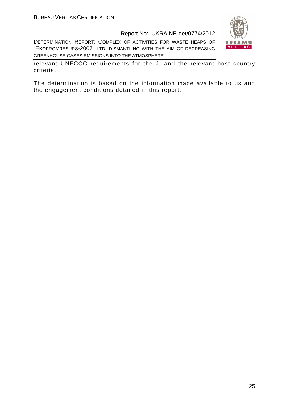DETERMINATION REPORT: COMPLEX OF ACTIVITIES FOR WASTE HEAPS OF "EKOPROMRESURS-2007" LTD. DISMANTLING WITH THE AIM OF DECREASING GREENHOUSE GASES EMISSIONS INTO THE ATMOSPHERE



relevant UNFCCC requirements for the JI and the relevant host country criteria.

The determination is based on the information made available to us and the engagement conditions detailed in this report.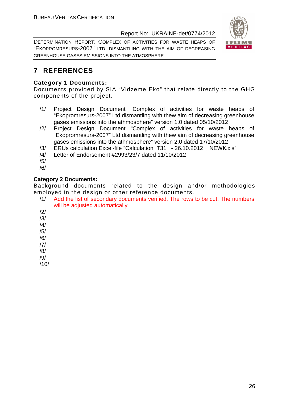DETERMINATION REPORT: COMPLEX OF ACTIVITIES FOR WASTE HEAPS OF "EKOPROMRESURS-2007" LTD. DISMANTLING WITH THE AIM OF DECREASING GREENHOUSE GASES EMISSIONS INTO THE ATMOSPHERE



#### **7 REFERENCES**

#### **Category 1 Documents:**

Documents provided by SIA "Vidzeme Eko" that relate directly to the GHG components of the project.

- /1/ Project Design Document "Complex of activities for waste heaps of "Ekopromresurs-2007" Ltd dismantling with thew aim of decreasing greenhouse gases emissions into the athmosphere" version 1.0 dated 05/10/2012
- /2/ Project Design Document "Complex of activities for waste heaps of "Ekopromresurs-2007" Ltd dismantling with thew aim of decreasing greenhouse gases emissions into the athmosphere" version 2.0 dated 17/10/2012
- /3/ ERUs calculation Excel-file "Calculation\_T31\_ 26.10.2012\_\_NEWК.xls"
- /4/ Letter of Endorsement #2993/23/7 dated 11/10/2012
- /5/
- /6/

#### **Category 2 Documents:**

Background documents related to the design and/or methodologies employed in the design or other reference documents.

- /1/ Add the list of secondary documents verified. The rows to be cut. The numbers will be adjusted automatically
- /2/ /3/

/4/

/5/

- /6/
- /7/
- /8/
- /9/
- /10/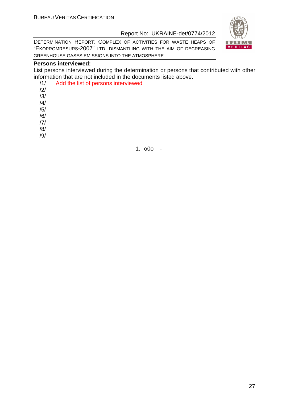DETERMINATION REPORT: COMPLEX OF ACTIVITIES FOR WASTE HEAPS OF "EKOPROMRESURS-2007" LTD. DISMANTLING WITH THE AIM OF DECREASING GREENHOUSE GASES EMISSIONS INTO THE ATMOSPHERE

#### **Persons interviewed:**

List persons interviewed during the determination or persons that contributed with other information that are not included in the documents listed above.

| /1/            | Add the list of persons interviewed |
|----------------|-------------------------------------|
| /2/            |                                     |
| /3/            |                                     |
| $\frac{14}{3}$ |                                     |
| /5/            |                                     |
| /6/            |                                     |
| 7              |                                     |
| /8/            |                                     |
|                |                                     |



1. o0o -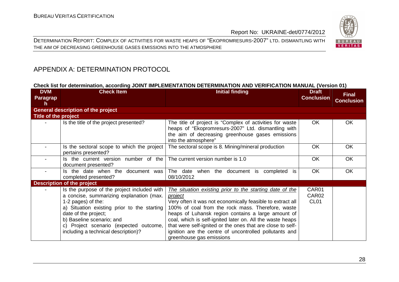DETERMINATION REPORT: COMPLEX OF ACTIVITIES FOR WASTE HEAPS OF "EKOPROMRESURS-2007" LTD. DISMANTLING WITH THE AIM OF DECREASING GREENHOUSE GASES EMISSIONS INTO THE ATMOSPHERE



### APPENDIX A: DETERMINATION PROTOCOL

#### **Check list for determination, according JOINT IMPLEMENTATION DETERMINATION AND VERIFICATION MANUAL (Version 01)**

| <b>DVM</b><br><b>Paragrap</b><br>h | <b>Check Item</b>                                                                                                                                                                                                                                                                                  | <b>Initial finding</b>                                                                                                                                                                                                                                                                                                                                                                                                                                        | <b>Draft</b><br><b>Conclusion</b>  | <b>Final</b><br><b>Conclusion</b> |
|------------------------------------|----------------------------------------------------------------------------------------------------------------------------------------------------------------------------------------------------------------------------------------------------------------------------------------------------|---------------------------------------------------------------------------------------------------------------------------------------------------------------------------------------------------------------------------------------------------------------------------------------------------------------------------------------------------------------------------------------------------------------------------------------------------------------|------------------------------------|-----------------------------------|
|                                    | <b>General description of the project</b>                                                                                                                                                                                                                                                          |                                                                                                                                                                                                                                                                                                                                                                                                                                                               |                                    |                                   |
| Title of the project               |                                                                                                                                                                                                                                                                                                    |                                                                                                                                                                                                                                                                                                                                                                                                                                                               |                                    |                                   |
|                                    | Is the title of the project presented?                                                                                                                                                                                                                                                             | The title of project is "Complex of activities for waste<br>heaps of "Ekopromresurs-2007" Ltd. dismantling with<br>the aim of decreasing greenhouse gases emissions<br>into the atmosphere"                                                                                                                                                                                                                                                                   | <b>OK</b>                          | <b>OK</b>                         |
|                                    | Is the sectoral scope to which the project<br>pertains presented?                                                                                                                                                                                                                                  | The sectoral scope is 8. Mining/mineral production                                                                                                                                                                                                                                                                                                                                                                                                            | <b>OK</b>                          | <b>OK</b>                         |
|                                    | Is the current version number of the<br>document presented?                                                                                                                                                                                                                                        | The current version number is 1.0                                                                                                                                                                                                                                                                                                                                                                                                                             | <b>OK</b>                          | OK                                |
|                                    | Is the date when the document was<br>completed presented?                                                                                                                                                                                                                                          | The date when the document is completed is<br>08/10/2012                                                                                                                                                                                                                                                                                                                                                                                                      | OK                                 | OK                                |
|                                    | <b>Description of the project</b>                                                                                                                                                                                                                                                                  |                                                                                                                                                                                                                                                                                                                                                                                                                                                               |                                    |                                   |
|                                    | Is the purpose of the project included with<br>a concise, summarizing explanation (max.<br>1-2 pages) of the:<br>a) Situation existing prior to the starting<br>date of the project;<br>b) Baseline scenario; and<br>c) Project scenario (expected outcome,<br>including a technical description)? | The situation existing prior to the starting date of the<br>project<br>Very often it was not economically feasible to extract all<br>100% of coal from the rock mass. Therefore, waste<br>heaps of Luhansk region contains a large amount of<br>coal, which is self-ignited later on. All the waste heaps<br>that were self-ignited or the ones that are close to self-<br>ignition are the centre of uncontrolled pollutants and<br>greenhouse gas emissions | CAR01<br>CAR02<br>CL <sub>01</sub> |                                   |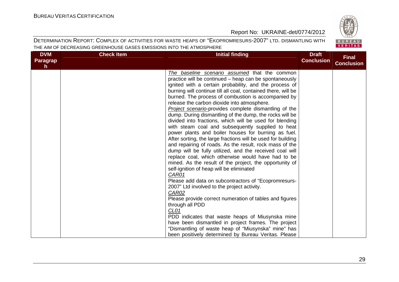BUREAU<br>VERITAS

#### Report No: UKRAINE-det/0774/2012

| <b>DVM</b><br><b>Paragrap</b><br>$\mathsf{h}$ | <b>Check Item</b> | <b>Initial finding</b>                                                                                                                                                                                                                                                                                                                                                                                                                                                                                                                                                                                                                                                                                                                                                                                                                                                                                                                                                                                                                                                                                                                                                                                                                                                                                                                                                                                                                      | <b>Draft</b><br><b>Conclusion</b> | <b>Final</b><br><b>Conclusion</b> |
|-----------------------------------------------|-------------------|---------------------------------------------------------------------------------------------------------------------------------------------------------------------------------------------------------------------------------------------------------------------------------------------------------------------------------------------------------------------------------------------------------------------------------------------------------------------------------------------------------------------------------------------------------------------------------------------------------------------------------------------------------------------------------------------------------------------------------------------------------------------------------------------------------------------------------------------------------------------------------------------------------------------------------------------------------------------------------------------------------------------------------------------------------------------------------------------------------------------------------------------------------------------------------------------------------------------------------------------------------------------------------------------------------------------------------------------------------------------------------------------------------------------------------------------|-----------------------------------|-----------------------------------|
|                                               |                   | The baseline scenario assumed that the common<br>practice will be continued - heap can be spontaneously<br>ignited with a certain probability, and the process of<br>burning will continue till all coal, contained there, will be<br>burned. The process of combustion is accompanied by<br>release the carbon dioxide into atmosphere.<br>Project scenario-provides complete dismantling of the<br>dump. During dismantling of the dump, the rocks will be<br>divided into fractions, which will be used for blending<br>with steam coal and subsequently supplied to heat<br>power plants and boiler houses for burning as fuel.<br>After sorting, the large fractions will be used for building<br>and repairing of roads. As the result, rock mass of the<br>dump will be fully utilized, and the received coal will<br>replace coal, which otherwise would have had to be<br>mined. As the result of the project, the opportunity of<br>self-ignition of heap will be eliminated<br>CAR01<br>Please add data on subcontractors of "Ecopromresurs-<br>2007" Ltd involved to the project activity.<br>CAR02<br>Please provide correct numeration of tables and figures<br>through all PDD<br>CL <sub>01</sub><br>PDD indicates that waste heaps of Miusynska mine<br>have been dismantled in project frames. The project<br>"Dismantling of waste heap of "Miusynska" mine" has<br>been positively determined by Bureau Veritas. Please |                                   |                                   |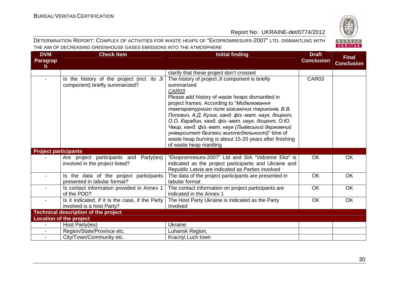

| <b>DVM</b><br><b>Paragrap</b><br>h. | <b>Check Item</b>                                                             | <b>Initial finding</b>                                                                                                                                                                                                                                                                                                                                                                                                                                                                                                     | <b>Draft</b><br><b>Conclusion</b> | <b>Final</b><br><b>Conclusion</b> |
|-------------------------------------|-------------------------------------------------------------------------------|----------------------------------------------------------------------------------------------------------------------------------------------------------------------------------------------------------------------------------------------------------------------------------------------------------------------------------------------------------------------------------------------------------------------------------------------------------------------------------------------------------------------------|-----------------------------------|-----------------------------------|
|                                     |                                                                               | clarify that these project don't crossed                                                                                                                                                                                                                                                                                                                                                                                                                                                                                   |                                   |                                   |
|                                     | Is the history of the project (incl. its JI<br>component) briefly summarized? | The history of project JI component is briefly<br>summarized<br>CAR03<br>Please add history of waste heaps dismantled in<br>project frames. According to "Моделювання<br>температурного поля згасаючих териконів, В.В.<br>Попович, А.Д. Кузик, канд. фіз.-мат. наук, доцент,<br>О.О. Карабин, канд. фіз.-мат. наук, доцент, О.Ю.<br>Чмир, канд. фіз.-мат. наук (Львівський державний<br>університет безпеки життєдіяльності)" time of<br>waste heap burning is about 15-20 years after finishing<br>of waste heap mantling | CAR03                             |                                   |
| <b>Project participants</b>         |                                                                               |                                                                                                                                                                                                                                                                                                                                                                                                                                                                                                                            |                                   |                                   |
|                                     | Are project participants and Party(ies)<br>involved in the project listed?    | "Ekopromresurs-2007" Ltd and SIA "Vidzeme Eko" is<br>indicated as the project participants and Ukraine and<br>Republic Latvia are indicated as Parties involved                                                                                                                                                                                                                                                                                                                                                            | <b>OK</b>                         | <b>OK</b>                         |
|                                     | Is the data of the project participants<br>presented in tabular format?       | The data of the project participants are presented in<br>tabular format                                                                                                                                                                                                                                                                                                                                                                                                                                                    | <b>OK</b>                         | <b>OK</b>                         |
|                                     | Is contact information provided in Annex 1<br>of the PDD?                     | The contact information on project participants are<br>indicated in the Annex 1                                                                                                                                                                                                                                                                                                                                                                                                                                            | <b>OK</b>                         | <b>OK</b>                         |
|                                     | Is it indicated, if it is the case, if the Party<br>involved is a host Party? | The Host Party Ukraine is indicated as the Party<br>Involved                                                                                                                                                                                                                                                                                                                                                                                                                                                               | <b>OK</b>                         | OK                                |
|                                     | <b>Technical description of the project</b>                                   |                                                                                                                                                                                                                                                                                                                                                                                                                                                                                                                            |                                   |                                   |
|                                     | <b>Location of the project</b>                                                |                                                                                                                                                                                                                                                                                                                                                                                                                                                                                                                            |                                   |                                   |
|                                     | Host Party(ies)                                                               | Ukraine                                                                                                                                                                                                                                                                                                                                                                                                                                                                                                                    |                                   |                                   |
|                                     | Region/State/Province etc.                                                    | Luhansk Region,                                                                                                                                                                                                                                                                                                                                                                                                                                                                                                            |                                   |                                   |
|                                     | City/Town/Community etc.                                                      | Kracnyi Luch town                                                                                                                                                                                                                                                                                                                                                                                                                                                                                                          |                                   |                                   |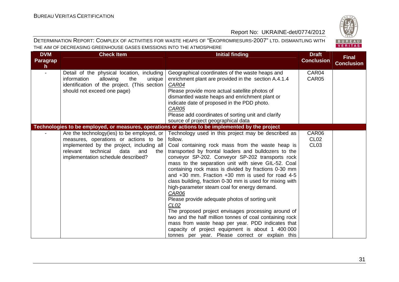

| <b>DVM</b><br><b>Paragrap</b><br>$\mathsf{h}$ | <b>Check Item</b>                                                                                                                                                                                                          | <b>Initial finding</b>                                                                                                                                                                                                                                                                                                                                                                                                                                                                                                                                                                                                                                                                                                                                                                                                                                                         | <b>Draft</b><br><b>Conclusion</b>             | <b>Final</b><br><b>Conclusion</b> |
|-----------------------------------------------|----------------------------------------------------------------------------------------------------------------------------------------------------------------------------------------------------------------------------|--------------------------------------------------------------------------------------------------------------------------------------------------------------------------------------------------------------------------------------------------------------------------------------------------------------------------------------------------------------------------------------------------------------------------------------------------------------------------------------------------------------------------------------------------------------------------------------------------------------------------------------------------------------------------------------------------------------------------------------------------------------------------------------------------------------------------------------------------------------------------------|-----------------------------------------------|-----------------------------------|
|                                               | Detail of the physical location, including<br>information<br>the<br>allowing<br>unique<br>identification of the project. (This section<br>should not exceed one page)                                                      | Geographical coordinates of the waste heaps and<br>enrichment plant are provided in the section A.4.1.4<br><b>CAR04</b><br>Please provide more actual satellite photos of<br>dismantled waste heaps and enrichment plant or<br>indicate date of proposed in the PDD photo.<br>CAR05<br>Please add coordinates of sorting unit and clarify<br>source of project geographical data                                                                                                                                                                                                                                                                                                                                                                                                                                                                                               | CAR04<br>CAR05                                |                                   |
|                                               |                                                                                                                                                                                                                            | Technologies to be employed, or measures, operations or actions to be implemented by the project                                                                                                                                                                                                                                                                                                                                                                                                                                                                                                                                                                                                                                                                                                                                                                               |                                               |                                   |
|                                               | Are the technology (ies) to be employed, or $ $<br>measures, operations or actions to be<br>implemented by the project, including all<br>technical<br>relevant<br>data<br>and<br>the<br>implementation schedule described? | Technology used in this project may be described as<br>follow.<br>Coal containing rock mass from the waste heap is<br>transported by frontal loaders and bulldozers to the<br>conveyor SP-202. Conveyor SP-202 transports rock<br>mass to the separation unit with sieve GIL-52. Coal<br>containing rock mass is divided by fractions 0-30 mm<br>and $+30$ mm. Fraction $+30$ mm is used for road 4-5<br>class building, fraction 0-30 mm is used for mixing with<br>high-parameter steam coal for energy demand.<br>CAR06<br>Please provide adequate photos of sorting unit<br>CL <sub>02</sub><br>The proposed project envisages processing around of<br>two and the half million tonnes of coal containing rock<br>mass from waste heap per year. PDD indicates that<br>capacity of project equipment is about 1 400 000<br>tonnes per year. Please correct or explain this | CAR06<br>CL <sub>02</sub><br>CL <sub>03</sub> |                                   |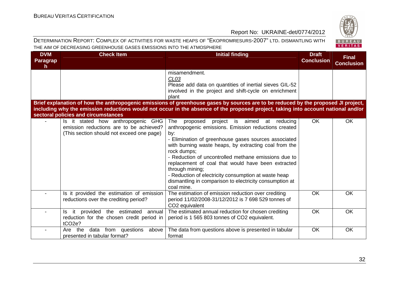

| <b>DVM</b><br><b>Paragrap</b><br>h | <b>Check Item</b>                                                                                                          | <b>Initial finding</b>                                                                                                                                                                                                                                                                                                                                                                                                                                                                                           | <b>Draft</b><br><b>Conclusion</b> | <b>Final</b><br><b>Conclusion</b> |
|------------------------------------|----------------------------------------------------------------------------------------------------------------------------|------------------------------------------------------------------------------------------------------------------------------------------------------------------------------------------------------------------------------------------------------------------------------------------------------------------------------------------------------------------------------------------------------------------------------------------------------------------------------------------------------------------|-----------------------------------|-----------------------------------|
|                                    |                                                                                                                            | misamendment.<br>CL <sub>03</sub><br>Please add data on quantities of inertial sieves GIL-52<br>involved in the project and shift-cycle on enrichment<br>plant                                                                                                                                                                                                                                                                                                                                                   |                                   |                                   |
|                                    | sectoral policies and circumstances                                                                                        | Brief explanation of how the anthropogenic emissions of greenhouse gases by sources are to be reduced by the proposed JI project,<br>including why the emission reductions would not occur in the absence of the proposed project, taking into account national and/or                                                                                                                                                                                                                                           |                                   |                                   |
|                                    | Is it stated how anthropogenic GHG<br>emission reductions are to be achieved?<br>(This section should not exceed one page) | The<br>project is aimed at reducing<br>proposed<br>anthropogenic emissions. Emission reductions created<br>by:<br>- Elimination of greenhouse gases sources associated<br>with burning waste heaps, by extracting coal from the<br>rock dumps;<br>- Reduction of uncontrolled methane emissions due to<br>replacement of coal that would have been extracted<br>through mining;<br>- Reduction of electricity consumption at waste heap<br>dismantling in comparison to electricity consumption at<br>coal mine. | OK                                | OK                                |
|                                    | Is it provided the estimation of emission<br>reductions over the crediting period?                                         | The estimation of emission reduction over crediting<br>period 11/02/2008-31/12/2012 is 7 698 529 tonnes of<br>CO <sub>2</sub> equivalent                                                                                                                                                                                                                                                                                                                                                                         | OK                                | <b>OK</b>                         |
|                                    | Is it provided<br>the estimated<br>annual<br>reduction for the chosen credit period in<br>tCO <sub>2e</sub> ?              | The estimated annual reduction for chosen crediting<br>period is 1 565 803 tonnes of CO2 equivalent.                                                                                                                                                                                                                                                                                                                                                                                                             | <b>OK</b>                         | <b>OK</b>                         |
|                                    | data from questions above<br>Are the<br>presented in tabular format?                                                       | The data from questions above is presented in tabular<br>format                                                                                                                                                                                                                                                                                                                                                                                                                                                  | OK                                | OK                                |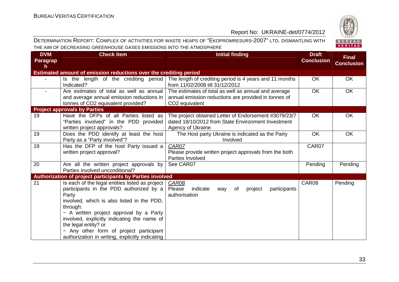

| 828     |
|---------|
| BUREAU  |
| VERITAS |

| <b>DVM</b><br><b>Paragrap</b><br>h | <b>Check Item</b>                                                                                                                                                                                                                                                                                                                                                             | <b>Initial finding</b>                                                                                                                     | <b>Draft</b><br><b>Conclusion</b> | <b>Final</b><br><b>Conclusion</b> |
|------------------------------------|-------------------------------------------------------------------------------------------------------------------------------------------------------------------------------------------------------------------------------------------------------------------------------------------------------------------------------------------------------------------------------|--------------------------------------------------------------------------------------------------------------------------------------------|-----------------------------------|-----------------------------------|
|                                    | Estimated amount of emission reductions over the crediting period                                                                                                                                                                                                                                                                                                             |                                                                                                                                            |                                   |                                   |
|                                    | Is the length of the crediting period<br>Indicated?                                                                                                                                                                                                                                                                                                                           | The length of crediting period is 4 years and 11 months<br>from 11/02/2008 till 31/12/2012                                                 | <b>OK</b>                         | <b>OK</b>                         |
| $\blacksquare$                     | Are estimates of total as well as annual<br>and average annual emission reductions in<br>tonnes of CO2 equivalent provided?                                                                                                                                                                                                                                                   | The estimates of total as well as annual and average<br>annual emission reductions are provided in tonnes of<br>CO <sub>2</sub> equivalent | <b>OK</b>                         | <b>OK</b>                         |
|                                    | <b>Project approvals by Parties</b>                                                                                                                                                                                                                                                                                                                                           |                                                                                                                                            |                                   |                                   |
| 19                                 | Have the DFPs of all Parties listed as<br>"Parties involved" in the PDD provided<br>written project approvals?                                                                                                                                                                                                                                                                | The project obtained Letter of Endorsement #3079/23/7<br>dated 18/10/2012 from State Environment Investment<br>Agency of Ukraine           | OK                                | OK                                |
| 19                                 | Does the PDD identify at least the host<br>Party as a "Party involved"?                                                                                                                                                                                                                                                                                                       | The Host party Ukraine is indicated as the Party<br>Involved                                                                               | <b>OK</b>                         | <b>OK</b>                         |
| 19                                 | Has the DFP of the host Party issued a<br>written project approval?                                                                                                                                                                                                                                                                                                           | CAR07<br>Please provide written project approvals from the both<br>Parties Involved                                                        | CAR07                             |                                   |
| 20                                 | Are all the written project approvals by<br>Parties involved unconditional?                                                                                                                                                                                                                                                                                                   | See CAR07                                                                                                                                  | Pending                           | Pending                           |
|                                    | Authorization of project participants by Parties involved                                                                                                                                                                                                                                                                                                                     |                                                                                                                                            |                                   |                                   |
| 21                                 | Is each of the legal entities listed as project<br>participants in the PDD authorized by a<br>Party<br>involved, which is also listed in the PDD,<br>through:<br>- A written project approval by a Party<br>involved, explicitly indicating the name of<br>the legal entity? or<br>- Any other form of project participant<br>authorization in writing, explicitly indicating | <b>CAR08</b><br>Please<br>indicate<br>participants<br>project<br>way<br>0f<br>authorisation                                                | CAR08                             | Pending                           |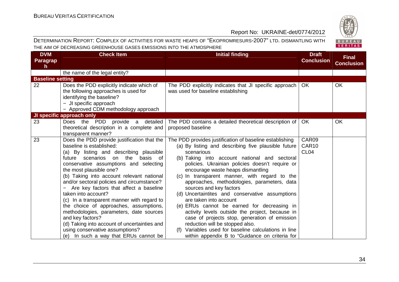

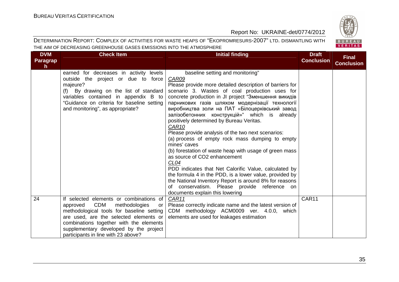

| <b>DVM</b><br><b>Paragrap</b><br>h. | <b>Check Item</b>                                                                                                                                                                                                                                                                                           | Initial finding                                                                                                                                                                                                                                                                                                                                                                                                                                                                                                                                                                                                                                                                                                                                                                                                                                                                                                                                   | <b>Draft</b><br><b>Conclusion</b> | <b>Final</b><br><b>Conclusion</b> |
|-------------------------------------|-------------------------------------------------------------------------------------------------------------------------------------------------------------------------------------------------------------------------------------------------------------------------------------------------------------|---------------------------------------------------------------------------------------------------------------------------------------------------------------------------------------------------------------------------------------------------------------------------------------------------------------------------------------------------------------------------------------------------------------------------------------------------------------------------------------------------------------------------------------------------------------------------------------------------------------------------------------------------------------------------------------------------------------------------------------------------------------------------------------------------------------------------------------------------------------------------------------------------------------------------------------------------|-----------------------------------|-----------------------------------|
|                                     | earned for decreases in activity levels<br>outside the project or due to force<br>majeure?<br>(f) By drawing on the list of standard<br>variables contained in appendix B to<br>"Guidance on criteria for baseline setting<br>and monitoring", as appropriate?                                              | baseline setting and monitoring"<br>CAR09<br>Please provide more detailed description of barriers for<br>scenario 3. Wastes of coal production uses for<br>concrete production in JI project "Зменшення викидів<br>парникових газів шляхом модернізації технології<br>виробництва золи на ПАТ «Білоцерківський завод<br>залізобетонних конструкцій»" which is already<br>positively determined by Bureau Veritas.<br>CAR <sub>10</sub><br>Please provide analysis of the two next scenarios:<br>(a) process of empty rock mass dumping to empty<br>mines' caves<br>(b) forestation of waste heap with usage of green mass<br>as source of CO2 enhancement<br>CL <sub>04</sub><br>PDD indicates that Net Calorific Value, calculated by<br>the formula 4 in the PDD, is a lower value, provided by<br>the National Inventory Report is around 8% for reasons<br>conservatism. Please provide reference on<br>Ωf<br>documents explain this lowering |                                   |                                   |
| 24                                  | If selected elements or combinations of<br><b>CDM</b><br>methodologies<br>approved<br>or<br>methodological tools for baseline setting<br>are used, are the selected elements or<br>combinations together with the elements<br>supplementary developed by the project<br>participants in line with 23 above? | CAR11<br>Please correctly indicate name and the latest version of<br>CDM methodology ACM0009 ver. 4.0.0, which<br>elements are used for leakages estimation                                                                                                                                                                                                                                                                                                                                                                                                                                                                                                                                                                                                                                                                                                                                                                                       | CAR11                             |                                   |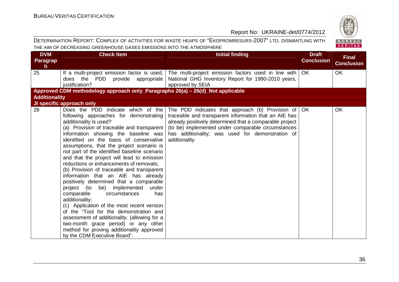

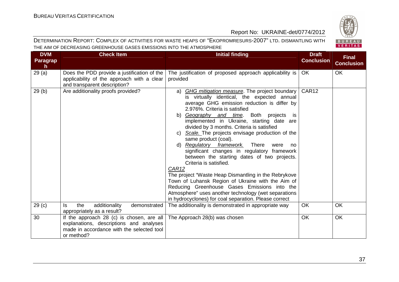

| <b>DVM</b><br><b>Paragrap</b><br>h | <b>Check Item</b>                                                                                                                               | <b>Initial finding</b>                                                                                                                                                                                                                                                                                                                                                                                                                                                                                                                                                                                                                                                                                                                                                                                                                                                    | <b>Draft</b><br><b>Conclusion</b> | <b>Final</b><br><b>Conclusion</b> |
|------------------------------------|-------------------------------------------------------------------------------------------------------------------------------------------------|---------------------------------------------------------------------------------------------------------------------------------------------------------------------------------------------------------------------------------------------------------------------------------------------------------------------------------------------------------------------------------------------------------------------------------------------------------------------------------------------------------------------------------------------------------------------------------------------------------------------------------------------------------------------------------------------------------------------------------------------------------------------------------------------------------------------------------------------------------------------------|-----------------------------------|-----------------------------------|
| 29(a)                              | Does the PDD provide a justification of the<br>applicability of the approach with a clear<br>and transparent description?                       | The justification of proposed approach applicability is<br>provided                                                                                                                                                                                                                                                                                                                                                                                                                                                                                                                                                                                                                                                                                                                                                                                                       | <b>OK</b>                         | OK                                |
| 29(b)                              | Are additionality proofs provided?                                                                                                              | GHG mitigation measure. The project boundary<br>a)<br>is virtually identical, the expected annual<br>average GHG emission reduction is differ by<br>2.976%. Criteria is satisfied<br>b) Geography and time. Both projects is<br>implemented in Ukraine, starting date are<br>divided by 3 months. Criteria is satisfied<br>c) Scale. The projects envisage production of the<br>same product (coal).<br>Regulatory framework.<br>There<br>d)<br>were<br>no<br>significant changes in regulatory framework<br>between the starting dates of two projects.<br>Criteria is satisfied.<br>CAR12<br>The project "Waste Heap Dismantling in the Rebrykove<br>Town of Luhansk Region of Ukraine with the Aim of<br>Reducing Greenhouse Gases Emissions into the<br>Atmosphere" uses another technology (wet separations<br>in hydrocyclones) for coal separation. Please correct | CAR12                             |                                   |
| 29 <sub>(c)</sub>                  | additionality<br>the<br>demonstrated<br>ls.<br>appropriately as a result?                                                                       | The additionality is demonstrated in appropriate way                                                                                                                                                                                                                                                                                                                                                                                                                                                                                                                                                                                                                                                                                                                                                                                                                      | <b>OK</b>                         | OK                                |
| 30                                 | If the approach 28 (c) is chosen, are all<br>explanations, descriptions and analyses<br>made in accordance with the selected tool<br>or method? | The Approach 28(b) was chosen                                                                                                                                                                                                                                                                                                                                                                                                                                                                                                                                                                                                                                                                                                                                                                                                                                             | <b>OK</b>                         | <b>OK</b>                         |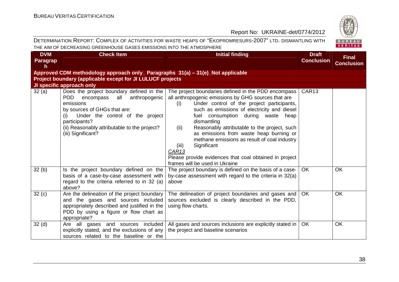# BUREAU<br>VERITAS

| <b>DVM</b><br>Paragrap<br>h. | <b>Check Item</b>                                                                                                                                                                                                                                                          | <b>Initial finding</b>                                                                                                                                                                                                                                                                                                                                                                                                                                                                                                                                            | <b>Draft</b><br><b>Conclusion</b> | <b>Final</b><br><b>Conclusion</b> |
|------------------------------|----------------------------------------------------------------------------------------------------------------------------------------------------------------------------------------------------------------------------------------------------------------------------|-------------------------------------------------------------------------------------------------------------------------------------------------------------------------------------------------------------------------------------------------------------------------------------------------------------------------------------------------------------------------------------------------------------------------------------------------------------------------------------------------------------------------------------------------------------------|-----------------------------------|-----------------------------------|
|                              | Approved CDM methodology approach only_ Paragraphs 31(a) - 31(e)_Not applicable                                                                                                                                                                                            |                                                                                                                                                                                                                                                                                                                                                                                                                                                                                                                                                                   |                                   |                                   |
|                              | Project boundary (applicable except for JI LULUCF projects                                                                                                                                                                                                                 |                                                                                                                                                                                                                                                                                                                                                                                                                                                                                                                                                                   |                                   |                                   |
|                              | JI specific approach only                                                                                                                                                                                                                                                  |                                                                                                                                                                                                                                                                                                                                                                                                                                                                                                                                                                   |                                   |                                   |
| 32(a)                        | Does the project boundary defined in the<br><b>PDD</b><br>anthropogenic<br>encompass<br>all<br>emissions<br>by sources of GHGs that are:<br>Under the control of the project<br>(i)<br>participants?<br>(ii) Reasonably attributable to the project?<br>(iii) Significant? | The project boundaries defined in the PDD encompass  <br>all anthropogenic emissions by GHG sources that are<br>Under control of the project participants,<br>(i)<br>such as emissions of electricity and diesel<br>fuel consumption during waste heap<br>dismantling<br>Reasonably attributable to the project, such<br>(ii)<br>as emissions from waste heap burning or<br>methane emissions as result of coal industry<br>Significant<br>(iii)<br>CAR <sub>13</sub><br>Please provide evidences that coal obtained in project<br>frames will be used in Ukraine | CAR <sub>13</sub>                 |                                   |
| 32(b)                        | Is the project boundary defined on the<br>basis of a case-by-case assessment with<br>regard to the criteria referred to in 32 (a)<br>above?                                                                                                                                | The project boundary is defined on the basis of a case-<br>by-case assessment with regard to the criteria in 32(a)<br>above                                                                                                                                                                                                                                                                                                                                                                                                                                       | <b>OK</b>                         | OK                                |
| 32 <sub>(c)</sub>            | Are the delineation of the project boundary<br>and the gases and sources included<br>appropriately described and justified in the<br>PDD by using a figure or flow chart as<br>appropriate?                                                                                | The delineation of project boundaries and gases and<br>sources excluded is clearly described in the PDD,<br>using flow charts.                                                                                                                                                                                                                                                                                                                                                                                                                                    | <b>OK</b>                         | OK                                |
| 32 <sub>(d)</sub>            | Are all gases and sources included<br>explicitly stated, and the exclusions of any<br>sources related to the baseline or the                                                                                                                                               | All gases and sources inclusions are explicitly stated in  <br>the project and baseline scenarios                                                                                                                                                                                                                                                                                                                                                                                                                                                                 | <b>OK</b>                         | <b>OK</b>                         |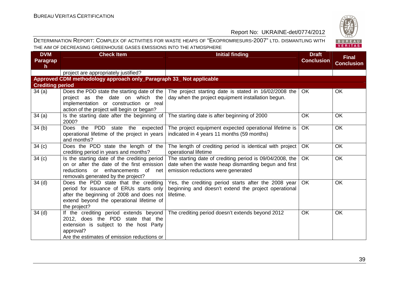

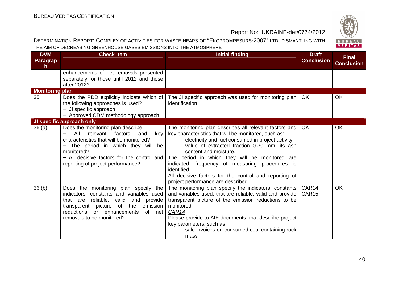

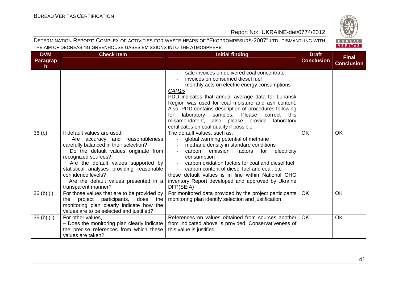

| <b>DVM</b><br>Paragrap<br>$\mathsf{h}$ | <b>Check Item</b>                                                                                                                                                                                                                                                                                                                                       | <b>Initial finding</b>                                                                                                                                                                                                                                                                                                                                                                                                                                                                                                                                                                                                                                                                                                                                                                                                                                                                           | <b>Draft</b><br><b>Conclusion</b> | <b>Final</b><br><b>Conclusion</b> |
|----------------------------------------|---------------------------------------------------------------------------------------------------------------------------------------------------------------------------------------------------------------------------------------------------------------------------------------------------------------------------------------------------------|--------------------------------------------------------------------------------------------------------------------------------------------------------------------------------------------------------------------------------------------------------------------------------------------------------------------------------------------------------------------------------------------------------------------------------------------------------------------------------------------------------------------------------------------------------------------------------------------------------------------------------------------------------------------------------------------------------------------------------------------------------------------------------------------------------------------------------------------------------------------------------------------------|-----------------------------------|-----------------------------------|
| 36 <sub>(b)</sub>                      | If default values are used:<br>Are accuracy and reasonableness<br>carefully balanced in their selection?<br>- Do the default values originate from<br>recognized sources?<br>- Are the default values supported by<br>statistical analyses providing reasonable<br>confidence levels?<br>- Are the default values presented in a<br>transparent manner? | sale invoices on delivered coal concentrate<br>invoices on consumed diesel fuel<br>monthly acts on electric energy consumptions<br>CAR <sub>15</sub><br>PDD indicates that annual average data for Luhansk<br>Region was used for coal moisture and ash content.<br>Also, PDD contains description of procedures following<br>samples. Please correct<br>laboratory<br>this<br>for<br>misamendment, also please provide laboratory<br>certificates on coal quality if possible<br>The default values, such as:<br>global warming potential of methane<br>methane density in standard conditions<br>carbon<br>emission factors<br>for<br>electricity<br>consumption<br>carbon oxidation factors for coal and diesel fuel<br>carbon content of diesel fuel and coal, etc<br>these default values is in line within National GHG<br>inventory Report developed and approved by Ukraine<br>DFP(SEIA) | <b>OK</b>                         | <b>OK</b>                         |
| 36 <sub>(b)</sub> <sub>(i)</sub>       | For those values that are to be provided by<br>project participants,<br>does<br>the<br>the<br>monitoring plan clearly indicate how the<br>values are to be selected and justified?                                                                                                                                                                      | For monitored data provided by the project participants<br>monitoring plan identify selection and justification                                                                                                                                                                                                                                                                                                                                                                                                                                                                                                                                                                                                                                                                                                                                                                                  | <b>OK</b>                         | OK                                |
| 36 (b) (ii)                            | For other values,<br>- Does the monitoring plan clearly indicate<br>the precise references from which these<br>values are taken?                                                                                                                                                                                                                        | References on values obtained from sources another<br>from indicated above is provided. Conservativeness of<br>this value is justified                                                                                                                                                                                                                                                                                                                                                                                                                                                                                                                                                                                                                                                                                                                                                           | <b>OK</b>                         | <b>OK</b>                         |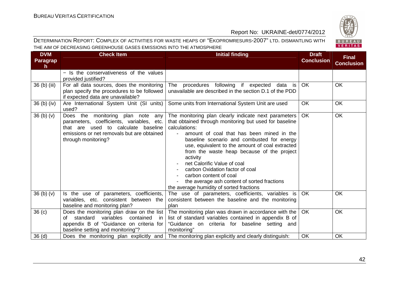

| <b>DVM</b><br><b>Paragrap</b><br>h. | <b>Check Item</b>                                                                                                                                                                             | Initial finding                                                                                                                                                                                                                                                                                                                                                                                                                                                                                                                | <b>Draft</b><br><b>Conclusion</b> | <b>Final</b><br><b>Conclusion</b> |
|-------------------------------------|-----------------------------------------------------------------------------------------------------------------------------------------------------------------------------------------------|--------------------------------------------------------------------------------------------------------------------------------------------------------------------------------------------------------------------------------------------------------------------------------------------------------------------------------------------------------------------------------------------------------------------------------------------------------------------------------------------------------------------------------|-----------------------------------|-----------------------------------|
|                                     | - Is the conservativeness of the values<br>provided justified?                                                                                                                                |                                                                                                                                                                                                                                                                                                                                                                                                                                                                                                                                |                                   |                                   |
| 36 (b) (iii)                        | For all data sources, does the monitoring<br>plan specify the procedures to be followed<br>if expected data are unavailable?                                                                  | procedures following if expected data is<br>The<br>unavailable are described in the section D.1 of the PDD                                                                                                                                                                                                                                                                                                                                                                                                                     | <b>OK</b>                         | <b>OK</b>                         |
| $36$ (b) (iv)                       | Are International System Unit (SI units)<br>used?                                                                                                                                             | Some units from International System Unit are used                                                                                                                                                                                                                                                                                                                                                                                                                                                                             | <b>OK</b>                         | OK                                |
| 36 <sub>(b)</sub> <sub>(v)</sub>    | Does the monitoring plan note<br>any<br>parameters, coefficients, variables, etc.<br>that are used to calculate baseline<br>emissions or net removals but are obtained<br>through monitoring? | The monitoring plan clearly indicate next parameters<br>that obtained through monitoring but used for baseline<br>calculations:<br>amount of coal that has been mined in the<br>baseline scenario and combusted for energy<br>use, equivalent to the amount of coal extracted<br>from the waste heap because of the project<br>activity<br>net Calorific Value of coal<br>carbon Oxidation factor of coal<br>carbon content of coal<br>the average ash content of sorted fractions<br>the average humidity of sorted fractions | <b>OK</b>                         | <b>OK</b>                         |
| 36 <sub>(b)</sub> <sub>(v)</sub>    | Is the use of parameters, coefficients,<br>variables, etc. consistent between the<br>baseline and monitoring plan?                                                                            | The use of parameters, coefficients, variables is<br>consistent between the baseline and the monitoring<br>plan                                                                                                                                                                                                                                                                                                                                                                                                                | OK.                               | <b>OK</b>                         |
| 36 <sub>(c)</sub>                   | Does the monitoring plan draw on the list<br>variables<br>standard<br>contained<br>of<br>in<br>appendix B of "Guidance on criteria for<br>baseline setting and monitoring"?                   | The monitoring plan was drawn in accordance with the<br>list of standard variables contained in appendix B of<br>"Guidance on criteria for baseline setting and<br>monitoring"                                                                                                                                                                                                                                                                                                                                                 | OK                                | OK                                |
| 36 <sub>(d)</sub>                   | Does the monitoring plan explicitly and                                                                                                                                                       | The monitoring plan explicitly and clearly distinguish:                                                                                                                                                                                                                                                                                                                                                                                                                                                                        | <b>OK</b>                         | <b>OK</b>                         |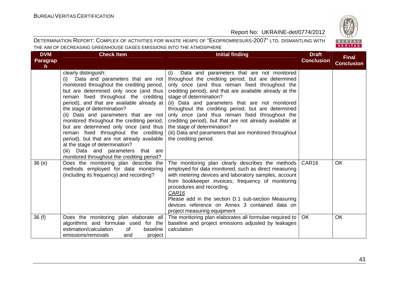

| <b>DVM</b><br>Paragrap<br>h | <b>Check Item</b>                                                                                                                                                                                                                                                                                                                                                                                                                                                                                                                                                                                                            | <b>Initial finding</b>                                                                                                                                                                                                                                                                                                                                                                                                                                                                                                                                                                         | <b>Draft</b><br><b>Conclusion</b> | <b>Final</b><br><b>Conclusion</b> |
|-----------------------------|------------------------------------------------------------------------------------------------------------------------------------------------------------------------------------------------------------------------------------------------------------------------------------------------------------------------------------------------------------------------------------------------------------------------------------------------------------------------------------------------------------------------------------------------------------------------------------------------------------------------------|------------------------------------------------------------------------------------------------------------------------------------------------------------------------------------------------------------------------------------------------------------------------------------------------------------------------------------------------------------------------------------------------------------------------------------------------------------------------------------------------------------------------------------------------------------------------------------------------|-----------------------------------|-----------------------------------|
|                             | clearly distinguish:<br>Data and parameters that are not<br>(i)<br>monitored throughout the crediting period,<br>but are determined only once (and thus<br>remain fixed throughout the crediting<br>period), and that are available already at<br>the stage of determination?<br>(ii) Data and parameters that are not<br>monitored throughout the crediting period,<br>but are determined only once (and thus<br>remain fixed throughout the crediting<br>period), but that are not already available<br>at the stage of determination?<br>(iii) Data and parameters that are<br>monitored throughout the crediting period? | Data and parameters that are not monitored<br>(i)<br>throughout the crediting period, but are determined<br>only once (and thus remain fixed throughout the<br>crediting period), and that are available already at the<br>stage of determination?<br>(ii) Data and parameters that are not monitored<br>throughout the crediting period, but are determined<br>only once (and thus remain fixed throughout the<br>crediting period), but that are not already available at<br>the stage of determination?<br>(iii) Data and parameters that are monitored throughout<br>the crediting period. |                                   |                                   |
| 36(e)                       | Does the monitoring plan describe the<br>methods employed for data monitoring<br>(including its frequency) and recording?                                                                                                                                                                                                                                                                                                                                                                                                                                                                                                    | The monitoring plan clearly describes the methods<br>employed for data monitored, such as direct measuring<br>with metering devices and laboratory samples, account<br>from bookkeeper invoices; frequency of monitoring<br>procedures and recording.<br>CAR <sub>16</sub><br>Please add in the section D.1 sub-section Measuring<br>devices reference on Annex 3 contained data on<br>project measuring equipment                                                                                                                                                                             | CAR <sub>16</sub>                 | <b>OK</b>                         |
| 36(f)                       | Does the monitoring plan elaborate all<br>algorithms and formulae used for the<br>estimation/calculation<br>baseline<br>of<br>emissions/removals<br>project<br>and                                                                                                                                                                                                                                                                                                                                                                                                                                                           | The monitoring plan elaborates all formulae required to<br>baseline and project emissions adjusted by leakages<br>calculation                                                                                                                                                                                                                                                                                                                                                                                                                                                                  | <b>OK</b>                         | OK                                |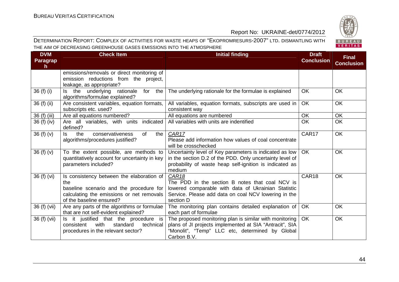BUREAU<br>VERITAS

#### Report No: UKRAINE-det/0774/2012

| <b>DVM</b><br><b>Paragrap</b><br>h. | <b>Check Item</b>                                                                                                                                                    | <b>Initial finding</b>                                                                                                                                                                           | <b>Draft</b><br><b>Conclusion</b> | <b>Final</b><br><b>Conclusion</b> |
|-------------------------------------|----------------------------------------------------------------------------------------------------------------------------------------------------------------------|--------------------------------------------------------------------------------------------------------------------------------------------------------------------------------------------------|-----------------------------------|-----------------------------------|
|                                     | emissions/removals or direct monitoring of<br>emission reductions from the project,<br>leakage, as appropriate?                                                      |                                                                                                                                                                                                  |                                   |                                   |
| 36 (f) (i)                          | Is the underlying<br>rationale<br>the<br>for<br>algorithms/formulae explained?                                                                                       | The underlying rationale for the formulae is explained                                                                                                                                           | <b>OK</b>                         | <b>OK</b>                         |
| 36 (f) (ii)                         | Are consistent variables, equation formats,<br>subscripts etc. used?                                                                                                 | All variables, equation formats, subscripts are used in<br>consistent way                                                                                                                        | OK                                | <b>OK</b>                         |
| 36 (f) (iii)                        | Are all equations numbered?                                                                                                                                          | All equations are numbered                                                                                                                                                                       | OK                                | <b>OK</b>                         |
| 36 (f) (iv)                         | Are all variables, with units indicated<br>defined?                                                                                                                  | All variables with units are indentified                                                                                                                                                         | <b>OK</b>                         | <b>OK</b>                         |
| 36(f)(v)                            | the<br>conservativeness<br><b>of</b><br>the<br>ls.<br>algorithms/procedures justified?                                                                               | CAR17<br>Please add information how values of coal concentrate<br>will be crosschecked                                                                                                           | CAR17                             | <b>OK</b>                         |
| 36(f)(v)                            | To the extent possible, are methods to<br>quantitatively account for uncertainty in key<br>parameters included?                                                      | Uncertainty level of Key parameters is indicated as low<br>in the section D.2 of the PDD. Only uncertainty level of<br>probability of waste heap self-ignition is indicated as<br>medium         | OK.                               | <b>OK</b>                         |
| 36 (f) (vi)                         | Is consistency between the elaboration of<br>the<br>baseline scenario and the procedure for<br>calculating the emissions or net removals<br>of the baseline ensured? | CAR <sub>18</sub><br>The PDD in the section B notes that coal NCV is<br>lowered comparable with data of Ukrainian Statistic<br>Service. Please add data on coal NCV lowering in the<br>section D | CAR18                             | <b>OK</b>                         |
| 36 (f) (vii)                        | Are any parts of the algorithms or formulae<br>that are not self-evident explained?                                                                                  | The monitoring plan contains detailed explanation of<br>each part of formulae                                                                                                                    | OK                                | <b>OK</b>                         |
| 36 (f) (vii)                        | Is it justified that the procedure is<br>with<br>standard<br>consistent<br>technical<br>procedures in the relevant sector?                                           | The proposed monitoring plan is similar with monitoring<br>plans of JI projects implemented at SIA "Antracit", SIA<br>"Monolit", "Temp" LLC etc, determined by Global<br>Carbon B.V.             | <b>OK</b>                         | <b>OK</b>                         |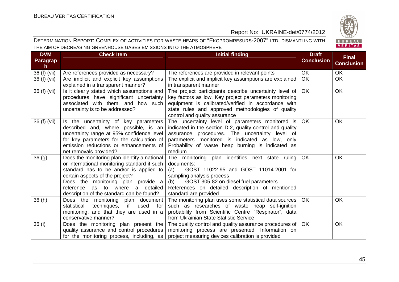

| <b>DVM</b><br><b>Paragrap</b><br>h. | <b>Check Item</b>                                                                                                                                                                                                                                                                                 | <b>Initial finding</b>                                                                                                                                                                                                                                                           | <b>Draft</b><br><b>Conclusion</b> | <b>Final</b><br><b>Conclusion</b> |
|-------------------------------------|---------------------------------------------------------------------------------------------------------------------------------------------------------------------------------------------------------------------------------------------------------------------------------------------------|----------------------------------------------------------------------------------------------------------------------------------------------------------------------------------------------------------------------------------------------------------------------------------|-----------------------------------|-----------------------------------|
| 36 (f) (vii)                        | Are references provided as necessary?                                                                                                                                                                                                                                                             | The references are provided in relevant points                                                                                                                                                                                                                                   | <b>OK</b>                         | OK                                |
| 36 (f) (vii)                        | Are implicit and explicit key assumptions<br>explained in a transparent manner?                                                                                                                                                                                                                   | The explicit and implicit key assumptions are explained<br>in transparent manner                                                                                                                                                                                                 | <b>OK</b>                         | <b>OK</b>                         |
| 36 (f) (vii)                        | Is it clearly stated which assumptions and<br>procedures have significant uncertainty<br>associated with them, and how such<br>uncertainty is to be addressed?                                                                                                                                    | The project participants describe uncertainty level of<br>key factors as low. Key project parameters monitoring<br>equipment is calibrated/verified in accordance with<br>state rules and approved methodologies of quality<br>control and quality assurance                     | <b>OK</b>                         | <b>OK</b>                         |
| 36 (f) (vii)                        | Is the uncertainty of key parameters<br>described and, where possible, is an<br>uncertainty range at 95% confidence level<br>for key parameters for the calculation of<br>emission reductions or enhancements of<br>net removals provided?                                                        | The uncertainty level of parameters monitored is<br>indicated in the section D.2, quality control and quality<br>assurance procedures. The uncertainty level of<br>parameters monitored is indicated as low, only<br>Probability of waste heap burning is indicated as<br>medium | <b>OK</b>                         | <b>OK</b>                         |
| 36(9)                               | Does the monitoring plan identify a national<br>or international monitoring standard if such<br>standard has to be and/or is applied to<br>certain aspects of the project?<br>Does the monitoring plan provide a<br>reference as to where a detailed<br>description of the standard can be found? | The monitoring plan identifies next state ruling<br>documents:<br>GOST 11022-95 and GOST 11014-2001 for<br>(a)<br>sampling analysis process<br>GOST 305-82 on diesel fuel parameters<br>(b)<br>References on detailed description of mentioned<br>standard are provided          | OK                                | <b>OK</b>                         |
| 36(h)                               | Does the monitoring plan document<br>techniques,<br>if<br>for<br>statistical<br>used<br>monitoring, and that they are used in a<br>conservative manner?                                                                                                                                           | The monitoring plan uses some statistical data sources<br>such as researches of waste heap self-ignition<br>probability from Scientific Centre "Respirator", data<br>from Ukrainian State Statistic Service                                                                      | <b>OK</b>                         | <b>OK</b>                         |
| 36 (i)                              | Does the monitoring plan present the<br>quality assurance and control procedures<br>for the monitoring process, including, as                                                                                                                                                                     | The quality control and quality assurance procedures of<br>monitoring process are presented. Information on<br>project measuring devices calibration is provided                                                                                                                 | <b>OK</b>                         | <b>OK</b>                         |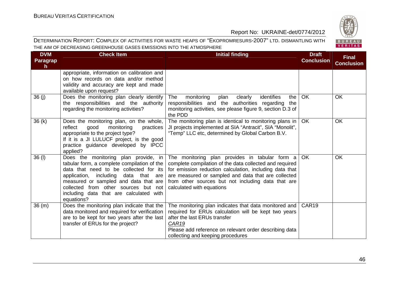| <b>DVM</b><br><b>Paragrap</b><br>h. | <b>Check Item</b>                                                                                                                                                                                                                                                                                                  | <b>Initial finding</b>                                                                                                                                                                                                                                                                                         | <b>Draft</b><br><b>Conclusion</b> | <b>Final</b><br><b>Conclusion</b> |
|-------------------------------------|--------------------------------------------------------------------------------------------------------------------------------------------------------------------------------------------------------------------------------------------------------------------------------------------------------------------|----------------------------------------------------------------------------------------------------------------------------------------------------------------------------------------------------------------------------------------------------------------------------------------------------------------|-----------------------------------|-----------------------------------|
|                                     | appropriate, information on calibration and<br>on how records on data and/or method<br>validity and accuracy are kept and made<br>available upon request?                                                                                                                                                          |                                                                                                                                                                                                                                                                                                                |                                   |                                   |
| 36(j)                               | Does the monitoring plan clearly identify<br>the responsibilities and the authority<br>regarding the monitoring activities?                                                                                                                                                                                        | identifies<br>The<br>monitoring<br>plan<br>clearly<br>the<br>responsibilities and the authorities regarding<br>the<br>monitoring activities, see please figure 9, section D.3 of<br>the PDD                                                                                                                    | OK                                | <b>OK</b>                         |
| 36(k)                               | Does the monitoring plan, on the whole,<br>reflect<br>good<br>monitoring<br>practices<br>appropriate to the project type?<br>If it is a JI LULUCF project, is the good<br>practice guidance developed by IPCC<br>applied?                                                                                          | The monitoring plan is identical to monitoring plans in<br>JI projects implemented at SIA "Antracit", SIA "Monolit",<br>"Temp" LLC etc, determined by Global Carbon B.V.                                                                                                                                       | <b>OK</b>                         | <b>OK</b>                         |
| 36 (I)                              | Does the monitoring plan provide, in<br>tabular form, a complete compilation of the<br>data that need to be collected for its<br>application, including<br>data that are<br>measured or sampled and data that are<br>collected from other sources but not<br>including data that are calculated with<br>equations? | The monitoring plan provides in tabular form a<br>complete compilation of the data collected and required<br>for emission reduction calculation, including data that<br>are measured or sampled and data that are collected<br>from other sources but not including data that are<br>calculated with equations | <b>OK</b>                         | <b>OK</b>                         |
| 36(m)                               | Does the monitoring plan indicate that the<br>data monitored and required for verification<br>are to be kept for two years after the last<br>transfer of ERUs for the project?                                                                                                                                     | The monitoring plan indicates that data monitored and<br>required for ERUs calculation will be kept two years<br>after the last ERUs transfer<br>CAR19<br>Please add reference on relevant order describing data<br>collecting and keeping procedures                                                          | CAR <sub>19</sub>                 |                                   |

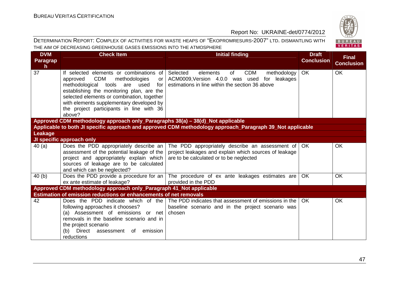| <b>DVM</b><br><b>Paragrap</b> | <b>Check Item</b>                                                                                                                                                                           | <b>Initial finding</b>                                                                                        | <b>Draft</b><br><b>Conclusion</b> | <b>Final</b><br><b>Conclusion</b> |  |  |
|-------------------------------|---------------------------------------------------------------------------------------------------------------------------------------------------------------------------------------------|---------------------------------------------------------------------------------------------------------------|-----------------------------------|-----------------------------------|--|--|
| $\mathsf{h}$                  |                                                                                                                                                                                             |                                                                                                               |                                   |                                   |  |  |
| 37                            | If selected elements or combinations of<br><b>CDM</b><br>approved<br>methodologies<br>or                                                                                                    | <b>CDM</b><br>Selected<br>elements<br>of<br>methodology<br>ACM0009, Version 4.0.0 was used<br>leakages<br>for | <b>OK</b>                         | <b>OK</b>                         |  |  |
|                               | methodological<br>tools are used<br>for                                                                                                                                                     | estimations in line within the section 36 above                                                               |                                   |                                   |  |  |
|                               | establishing the monitoring plan, are the                                                                                                                                                   |                                                                                                               |                                   |                                   |  |  |
|                               | selected elements or combination, together                                                                                                                                                  |                                                                                                               |                                   |                                   |  |  |
|                               | with elements supplementary developed by                                                                                                                                                    |                                                                                                               |                                   |                                   |  |  |
|                               | the project participants in line with 36<br>above?                                                                                                                                          |                                                                                                               |                                   |                                   |  |  |
|                               |                                                                                                                                                                                             |                                                                                                               |                                   |                                   |  |  |
|                               | Approved CDM methodology approach only_Paragraphs 38(a) - 38(d)_Not applicable<br>Applicable to both JI specific approach and approved CDM methodology approach_Paragraph 39_Not applicable |                                                                                                               |                                   |                                   |  |  |
| <b>Leakage</b>                |                                                                                                                                                                                             |                                                                                                               |                                   |                                   |  |  |
|                               | JI specific approach only                                                                                                                                                                   |                                                                                                               |                                   |                                   |  |  |
| 40(a)                         | Does the PDD appropriately describe an                                                                                                                                                      | The PDD appropriately describe an assessment of                                                               | OK.                               | OK                                |  |  |
|                               | assessment of the potential leakage of the                                                                                                                                                  | project leakages and explain which sources of leakage                                                         |                                   |                                   |  |  |
|                               | project and appropriately explain which                                                                                                                                                     | are to be calculated or to be neglected                                                                       |                                   |                                   |  |  |
|                               | sources of leakage are to be calculated                                                                                                                                                     |                                                                                                               |                                   |                                   |  |  |
|                               | and which can be neglected?                                                                                                                                                                 |                                                                                                               |                                   |                                   |  |  |
| 40(b)                         | Does the PDD provide a procedure for an $\vert$                                                                                                                                             | The procedure of ex ante leakages estimates are                                                               | <b>OK</b>                         | OK                                |  |  |
|                               | ex ante estimate of leakage?                                                                                                                                                                | provided in the PDD                                                                                           |                                   |                                   |  |  |
|                               | Approved CDM methodology approach only_Paragraph 41_Not applicable<br>Estimation of emission reductions or enhancements of net removals                                                     |                                                                                                               |                                   |                                   |  |  |
| 42                            | Does the PDD indicate which of the                                                                                                                                                          | The PDD indicates that assessment of emissions in the                                                         | OK.                               | OK                                |  |  |
|                               | following approaches it chooses?                                                                                                                                                            | baseline scenario and in the project scenario was                                                             |                                   |                                   |  |  |
|                               | (a) Assessment of emissions or net                                                                                                                                                          | chosen                                                                                                        |                                   |                                   |  |  |
|                               | removals in the baseline scenario and in                                                                                                                                                    |                                                                                                               |                                   |                                   |  |  |
|                               | the project scenario                                                                                                                                                                        |                                                                                                               |                                   |                                   |  |  |
|                               | Direct assessment of emission<br>(b)                                                                                                                                                        |                                                                                                               |                                   |                                   |  |  |
|                               | reductions                                                                                                                                                                                  |                                                                                                               |                                   |                                   |  |  |

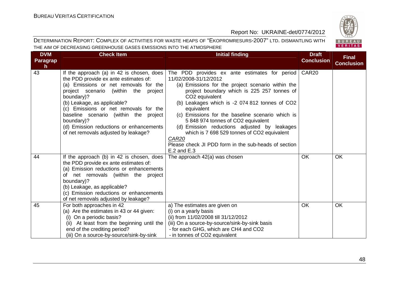

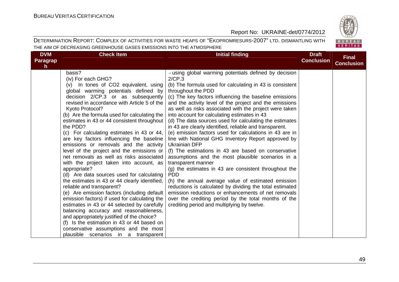

| <b>DVM</b><br><b>Paragrap</b><br>h. | <b>Check Item</b>                                                                                                                                                                                                                                                                                                                                                                                                                                                                                                                                                                                                                                                                                                                                                                                                                                                                                                                                                                                                                                                                                                         | <b>Initial finding</b>                                                                                                                                                                                                                                                                                                                                                                                                                                                                                                                                                                                                                                                                                                                                                                                                                                                                                                                                                                                                                                                                                                                       | <b>Draft</b><br><b>Conclusion</b> | <b>Final</b><br><b>Conclusion</b> |
|-------------------------------------|---------------------------------------------------------------------------------------------------------------------------------------------------------------------------------------------------------------------------------------------------------------------------------------------------------------------------------------------------------------------------------------------------------------------------------------------------------------------------------------------------------------------------------------------------------------------------------------------------------------------------------------------------------------------------------------------------------------------------------------------------------------------------------------------------------------------------------------------------------------------------------------------------------------------------------------------------------------------------------------------------------------------------------------------------------------------------------------------------------------------------|----------------------------------------------------------------------------------------------------------------------------------------------------------------------------------------------------------------------------------------------------------------------------------------------------------------------------------------------------------------------------------------------------------------------------------------------------------------------------------------------------------------------------------------------------------------------------------------------------------------------------------------------------------------------------------------------------------------------------------------------------------------------------------------------------------------------------------------------------------------------------------------------------------------------------------------------------------------------------------------------------------------------------------------------------------------------------------------------------------------------------------------------|-----------------------------------|-----------------------------------|
|                                     | basis?<br>(iv) For each GHG?<br>(v) In tones of CO2 equivalent, using<br>global warming potentials defined by<br>decision 2/CP.3 or as subsequently<br>revised in accordance with Article 5 of the<br>Kyoto Protocol?<br>(b) Are the formula used for calculating the<br>estimates in 43 or 44 consistent throughout<br>the PDD?<br>(c) For calculating estimates in 43 or 44,<br>are key factors influencing the baseline<br>emissions or removals and the activity<br>level of the project and the emissions or<br>net removals as well as risks associated<br>with the project taken into account, as<br>appropriate?<br>(d) Are data sources used for calculating<br>the estimates in 43 or 44 clearly identified,<br>reliable and transparent?<br>(e) Are emission factors (including default<br>emission factors) if used for calculating the<br>estimates in 43 or 44 selected by carefully<br>balancing accuracy and reasonableness,<br>and appropriately justified of the choice?<br>(f) Is the estimation in 43 or 44 based on<br>conservative assumptions and the most<br>plausible scenarios in a transparent | - using global warming potentials defined by decision<br>2/CP.3<br>(b) The formula used for calculating in 43 is consistent<br>throughout the PDD<br>(c) The key factors influencing the baseline emissions<br>and the activity level of the project and the emissions<br>as well as risks associated with the project were taken<br>into account for calculating estimates in 43<br>(d) The data sources used for calculating the estimates<br>in 43 are clearly identified, reliable and transparent.<br>(e) emission factors used for calculations in 43 are in<br>line with National GHG Inventory Report approved by<br><b>Ukrainian DFP</b><br>(f) The estimations in 43 are based on conservative<br>assumptions and the most plausible scenarios in a<br>transparent manner<br>$(q)$ the estimates in 43 are consistent throughout the<br><b>PDD</b><br>(h) the annual average value of estimated emission<br>reductions is calculated by dividing the total estimated<br>emission reductions or enhancements of net removals<br>over the crediting period by the total months of the<br>crediting period and multiplying by twelve. |                                   |                                   |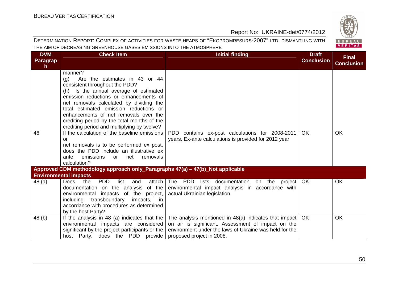

| <b>DVM</b><br><b>Paragrap</b><br>$\mathsf{h}$ | <b>Check Item</b>                                                                                                                                                                                                                                                                                                                                                                                 | <b>Initial finding</b>                                                                                                                                                                             | <b>Draft</b><br><b>Conclusion</b> | <b>Final</b><br><b>Conclusion</b> |
|-----------------------------------------------|---------------------------------------------------------------------------------------------------------------------------------------------------------------------------------------------------------------------------------------------------------------------------------------------------------------------------------------------------------------------------------------------------|----------------------------------------------------------------------------------------------------------------------------------------------------------------------------------------------------|-----------------------------------|-----------------------------------|
|                                               | manner?<br>Are the estimates in 43 or 44<br>(q)<br>consistent throughout the PDD?<br>(h) Is the annual average of estimated<br>emission reductions or enhancements of<br>net removals calculated by dividing the<br>total estimated emission reductions or<br>enhancements of net removals over the<br>crediting period by the total months of the<br>crediting period and multiplying by twelve? |                                                                                                                                                                                                    |                                   |                                   |
| 46                                            | If the calculation of the baseline emissions<br>or<br>net removals is to be performed ex post,<br>does the PDD include an illustrative ex<br>emissions<br>removals<br>ante<br>net<br><b>or</b><br>calculation?                                                                                                                                                                                    | PDD contains ex-post calculations for 2008-2011<br>years. Ex-ante calculations is provided for 2012 year                                                                                           | OK.                               | <b>OK</b>                         |
|                                               | Approved CDM methodology approach only_Paragraphs 47(a) - 47(b)_Not applicable                                                                                                                                                                                                                                                                                                                    |                                                                                                                                                                                                    |                                   |                                   |
| 48 (a)                                        | <b>Environmental impacts</b><br><b>PDD</b><br><b>Does</b><br>list<br>attach<br>the<br>and<br>of the<br>documentation on the analysis<br>environmental impacts of the project,<br>transboundary<br>including<br>impacts, in<br>accordance with procedures as determined<br>by the host Party?                                                                                                      | The PDD lists documentation on the project OK<br>environmental impact analysis in accordance with<br>actual Ukrainian legislation.                                                                 |                                   | <b>OK</b>                         |
| 48(b)                                         | If the analysis in 48 (a) indicates that the<br>environmental impacts are considered<br>significant by the project participants or the<br>host Party, does the PDD provide                                                                                                                                                                                                                        | The analysis mentioned in 48(a) indicates that impact<br>on air is significant. Assessment of impact on the<br>environment under the laws of Ukraine was held for the<br>proposed project in 2008. | OK.                               | OK                                |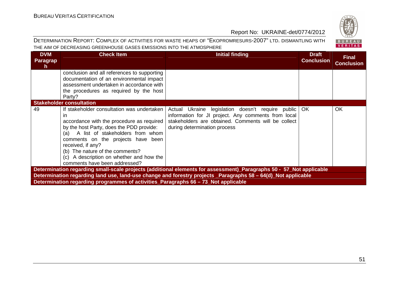#### DETERMINATION REPORT: COMPLEX OF ACTIVITIES FOR WASTE HEAPS OF "EKOPROMRESURS-2007" LTD. DISMANTLING WITH THE AIM OF DECREASING GREENHOUSE GASES EMISSIONS INTO THE ATMOSPHERE



BUREAU **VERITAS**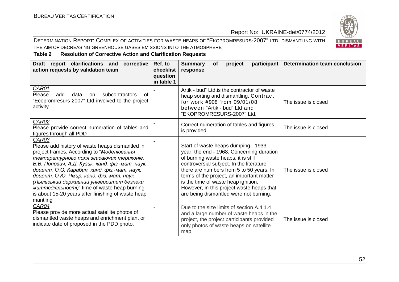#### DETERMINATION REPORT: COMPLEX OF ACTIVITIES FOR WASTE HEAPS OF "EKOPROMRESURS-2007" LTD. DISMANTLING WITH THE AIM OF DECREASING GREENHOUSE GASES EMISSIONS INTO THE ATMOSPHERE



#### **Table 2 Resolution of Corrective Action and Clarification Requests**

| Draft report clarifications and<br>corrective<br>action requests by validation team                                                                                                                                                                                                                                                                                                                                                                                   | Ref. to<br>checklist<br>question<br>in table 1 | <b>Summary</b><br>participant<br>project<br><b>of</b><br>response                                                                                                                                                                                                                                                                                                                          | <b>Determination team conclusion</b> |
|-----------------------------------------------------------------------------------------------------------------------------------------------------------------------------------------------------------------------------------------------------------------------------------------------------------------------------------------------------------------------------------------------------------------------------------------------------------------------|------------------------------------------------|--------------------------------------------------------------------------------------------------------------------------------------------------------------------------------------------------------------------------------------------------------------------------------------------------------------------------------------------------------------------------------------------|--------------------------------------|
| <b>CAR01</b><br>Please<br>add<br>data<br>subcontractors<br><b>on</b><br>0f<br>"Ecopromresurs-2007" Ltd involved to the project<br>activity.                                                                                                                                                                                                                                                                                                                           |                                                | Artik - bud" Ltd. is the contractor of waste<br>heap sorting and dismantling. Contract<br>for work #908 from 09/01/08<br>between "Artik - bud" Ltd and<br>"EKOPROMRESURS-2007" Ltd.                                                                                                                                                                                                        | The issue is closed                  |
| <b>CAR02</b><br>Please provide correct numeration of tables and<br>figures through all PDD                                                                                                                                                                                                                                                                                                                                                                            |                                                | Correct numeration of tables and figures<br>is provided                                                                                                                                                                                                                                                                                                                                    | The issue is closed                  |
| CAR03<br>Please add history of waste heaps dismantled in<br>project frames. According to "Моделювання<br>температурного поля згасаючих териконів,<br>В.В. Попович, А.Д. Кузик, канд. фіз.-мат. наук,<br>доцент, О.О. Карабин, канд. фіз.-мат. наук,<br>доцент, О.Ю. Чмир, канд. фіз.-мат. наук<br>(Львівський державний університет безпеки<br><i>життедіяльності)</i> " time of waste heap burning<br>is about 15-20 years after finishing of waste heap<br>mantling |                                                | Start of waste heaps dumping - 1933<br>year, the end - 1968. Concerning duration<br>of burning waste heaps, it is still<br>controversial subject. In the literature<br>there are numbers from 5 to 50 years. In<br>terms of the project, an important matter<br>is the time of waste heap ignition.<br>However, in this project waste heaps that<br>are being dismantled were not burning. | The issue is closed                  |
| CAR04<br>Please provide more actual satellite photos of<br>dismantled waste heaps and enrichment plant or<br>indicate date of proposed in the PDD photo.                                                                                                                                                                                                                                                                                                              |                                                | Due to the size limits of section A.4.1.4<br>and a large number of waste heaps in the<br>project, the project participants provided<br>only photos of waste heaps on satellite<br>map.                                                                                                                                                                                                     | The issue is closed                  |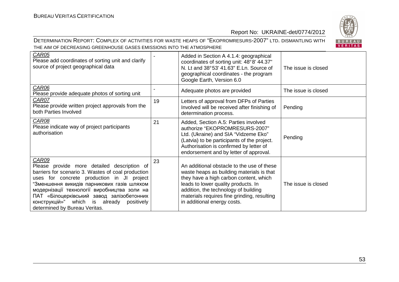

| CAR05<br>Please add coordinates of sorting unit and clarify<br>source of project geographical data                                                                                                                                                                                                                                                                                         |    | Added in Section A 4.1.4: geographical<br>coordinates of sorting unit: 48°8' 44.37"<br>N. Lt and 38°53' 41.63" E.Ln. Source of<br>geographical coordinates - the program<br>Google Earth, Version 6.0                                                                                          | The issue is closed |
|--------------------------------------------------------------------------------------------------------------------------------------------------------------------------------------------------------------------------------------------------------------------------------------------------------------------------------------------------------------------------------------------|----|------------------------------------------------------------------------------------------------------------------------------------------------------------------------------------------------------------------------------------------------------------------------------------------------|---------------------|
| CAR06<br>Please provide adequate photos of sorting unit                                                                                                                                                                                                                                                                                                                                    |    | Adequate photos are provided                                                                                                                                                                                                                                                                   | The issue is closed |
| CAR07<br>Please provide written project approvals from the<br>both Parties Involved                                                                                                                                                                                                                                                                                                        | 19 | Letters of approval from DFPs of Parties<br>Involved will be received after finishing of<br>determination process.                                                                                                                                                                             | Pending             |
| CAR08<br>Please indicate way of project participants<br>authorisation                                                                                                                                                                                                                                                                                                                      | 21 | Added, Section A.5: Parties involved<br>authorize "EKOPROMRESURS-2007"<br>Ltd. (Ukraine) and SIA "Vidzeme Eko"<br>(Latvia) to be participants of the project.<br>Authorisation is confirmed by letter of<br>endorsement and by letter of approval.                                             | Pending             |
| <b>CAR09</b><br>Please provide more detailed description of<br>barriers for scenario 3. Wastes of coal production<br>uses for concrete production in JI project<br>"Зменшення викидів парникових газів шляхом<br>модернізації технології виробництва золи на<br>ПАТ «Білоцерківський завод залізобетонних<br>конструкцій»" which is already<br>positively<br>determined by Bureau Veritas. | 23 | An additional obstacle to the use of these<br>waste heaps as building materials is that<br>they have a high carbon content, which<br>leads to lower quality products. In<br>addition, the technology of building<br>materials requires fine grinding, resulting<br>in additional energy costs. | The issue is closed |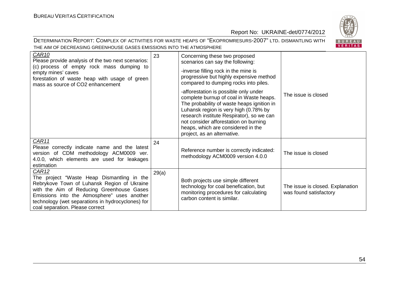

| <b>CAR10</b><br>Please provide analysis of the two next scenarios:<br>(c) process of empty rock mass dumping to<br>empty mines' caves<br>forestation of waste heap with usage of green<br>mass as source of CO2 enhancement                                                                   | 23    | Concerning these two proposed<br>scenarios can say the following:<br>-inverse filling rock in the mine is<br>progressive but highly expensive method<br>compared to dumping rocks into piles.                                                                                                                                      |                                                            |
|-----------------------------------------------------------------------------------------------------------------------------------------------------------------------------------------------------------------------------------------------------------------------------------------------|-------|------------------------------------------------------------------------------------------------------------------------------------------------------------------------------------------------------------------------------------------------------------------------------------------------------------------------------------|------------------------------------------------------------|
|                                                                                                                                                                                                                                                                                               |       | -afforestation is possible only under<br>complete burnup of coal in Waste heaps.<br>The probability of waste heaps ignition in<br>Luhansk region is very high (0.78% by<br>research institute Respirator), so we can<br>not consider afforestation on burning<br>heaps, which are considered in the<br>project, as an alternative. | The issue is closed                                        |
| CAR11<br>Please correctly indicate name and the latest<br>version of CDM methodology ACM0009 ver.<br>4.0.0, which elements are used for leakages<br>estimation                                                                                                                                | 24    | Reference number is correctly indicated:<br>methodology ACM0009 version 4.0.0                                                                                                                                                                                                                                                      | The issue is closed                                        |
| <b>CAR12</b><br>The project "Waste Heap Dismantling in the<br>Rebrykove Town of Luhansk Region of Ukraine<br>with the Aim of Reducing Greenhouse Gases<br>Emissions into the Atmosphere" uses another<br>technology (wet separations in hydrocyclones) for<br>coal separation. Please correct | 29(a) | Both projects use simple different<br>technology for coal benefication, but<br>monitoring procedures for calculating<br>carbon content is similar.                                                                                                                                                                                 | The issue is closed. Explanation<br>was found satisfactory |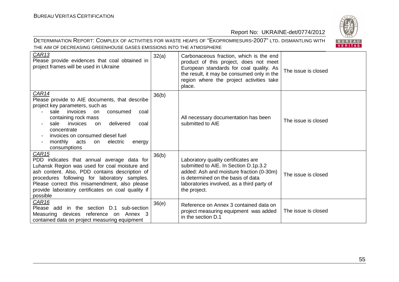

| <b>CAR13</b><br>Please provide evidences that coal obtained in<br>project frames will be used in Ukraine                                                                                                                                                                                                                               | 32(a) | Carbonaceous fraction, which is the end<br>product of this project, does not meet<br>European standards for coal quality. As<br>the result, it may be consumed only in the<br>region where the project activities take<br>place. | The issue is closed |
|----------------------------------------------------------------------------------------------------------------------------------------------------------------------------------------------------------------------------------------------------------------------------------------------------------------------------------------|-------|----------------------------------------------------------------------------------------------------------------------------------------------------------------------------------------------------------------------------------|---------------------|
| CAR14<br>Please provide to AIE documents, that describe<br>project key parameters, such as<br>sale invoices on<br>consumed<br>coal<br>containing rock mass<br>invoices<br>delivered<br>sale<br><sub>on</sub><br>coal<br>concentrate<br>invoices on consumed diesel fuel<br>monthly<br>acts<br>electric<br>energy<br>on<br>consumptions | 36(b) | All necessary documentation has been<br>submitted to AIE                                                                                                                                                                         | The issue is closed |
| CAR15<br>PDD indicates that annual average data for<br>Luhansk Region was used for coal moisture and<br>ash content. Also, PDD contains description of<br>procedures following for laboratory samples.<br>Please correct this misamendment, also please<br>provide laboratory certificates on coal quality if<br>possible              | 36(b) | Laboratory quality certificates are<br>submitted to AIE. In Section D.1p.3.2<br>added: Ash and moisture fraction (0-30m)<br>is determined on the basis of data<br>laboratories involved, as a third party of<br>the project.     | The issue is closed |
| CAR16<br>Please add in the section D.1<br>sub-section<br>Measuring devices reference on Annex 3<br>contained data on project measuring equipment                                                                                                                                                                                       | 36(e) | Reference on Annex 3 contained data on<br>project measuring equipment was added<br>in the section D.1                                                                                                                            | The issue is closed |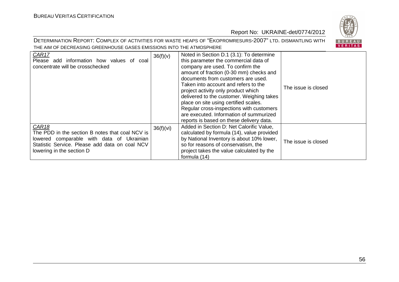

| CAR17<br>add information how values of<br>Please<br>coal<br>concentrate will be crosschecked                                                                                                | 36(f)(v)  | Noted in Section D.1 (3.1): To determine<br>this parameter the commercial data of<br>company are used. To confirm the<br>amount of fraction (0-30 mm) checks and<br>documents from customers are used.<br>Taken into account and refers to the<br>project activity only product which<br>delivered to the customer. Weighing takes<br>place on site using certified scales.<br>Regular cross-inspections with customers<br>are executed. Information of summurized<br>reports is based on these delivery data. | The issue is closed |
|---------------------------------------------------------------------------------------------------------------------------------------------------------------------------------------------|-----------|----------------------------------------------------------------------------------------------------------------------------------------------------------------------------------------------------------------------------------------------------------------------------------------------------------------------------------------------------------------------------------------------------------------------------------------------------------------------------------------------------------------|---------------------|
| <b>CAR18</b><br>The PDD in the section B notes that coal NCV is<br>lowered comparable with data of Ukrainian<br>Statistic Service. Please add data on coal NCV<br>lowering in the section D | 36(f)(vi) | Added in Section D: Net Calorific Value,<br>calculated by formula (14), value provided<br>by National Inventory is about 10% lower,<br>so for reasons of conservatism, the<br>project takes the value calculated by the<br>formula (14)                                                                                                                                                                                                                                                                        | The issue is closed |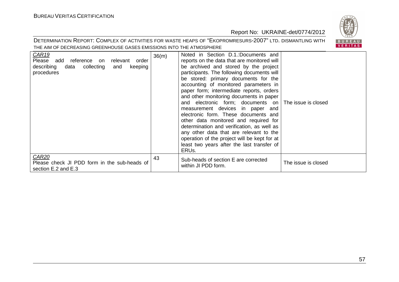

| <b>CAR19</b><br>Please add reference on<br>relevant<br>order<br>describing<br>collecting<br>data<br>and<br>keeping<br>procedures | 36(m) | Noted in Section D.1.:Documents and<br>reports on the data that are monitored will<br>be archived and stored by the project<br>participants. The following documents will<br>be stored: primary documents for the<br>accounting of monitored parameters in<br>paper form; intermediate reports, orders<br>and other monitoring documents in paper<br>and electronic form; documents on   The issue is closed<br>measurement devices in paper and<br>electronic form. These documents and<br>other data monitored and required for<br>determination and verification, as well as<br>any other data that are relevant to the<br>operation of the project will be kept for at<br>least two years after the last transfer of<br>ERU <sub>s</sub> . |                     |
|----------------------------------------------------------------------------------------------------------------------------------|-------|------------------------------------------------------------------------------------------------------------------------------------------------------------------------------------------------------------------------------------------------------------------------------------------------------------------------------------------------------------------------------------------------------------------------------------------------------------------------------------------------------------------------------------------------------------------------------------------------------------------------------------------------------------------------------------------------------------------------------------------------|---------------------|
| CAR <sub>20</sub><br>Please check JI PDD form in the sub-heads of<br>section E.2 and E.3                                         | 43    | Sub-heads of section E are corrected<br>within JI PDD form.                                                                                                                                                                                                                                                                                                                                                                                                                                                                                                                                                                                                                                                                                    | The issue is closed |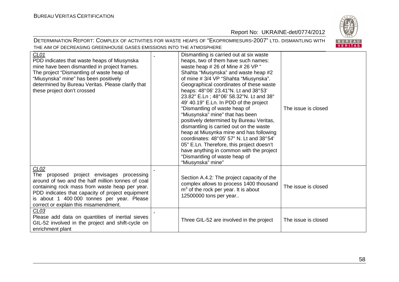

| CLO1<br>PDD indicates that waste heaps of Miusynska<br>mine have been dismantled in project frames.<br>The project "Dismantling of waste heap of<br>"Miusynska" mine" has been positively<br>determined by Bureau Veritas. Please clarify that<br>these project don't crossed                       | Dismantling is carried out at six waste<br>heaps, two of them have such names:<br>waste heap # 26 of Mine # 26 VP "<br>Shahta "Miusynska" and waste heap #2<br>of mine #3/4 VP "Shahta "Miusynska".<br>Geographical coordinates of these waste<br>heaps: 48°06' 23.41"N. Lt and 38°53'<br>23.82" E.Ln; 48°06' 58.32"N. Lt and 38°<br>49' 40.19" E.Ln. In PDD of the project<br>"Dismantling of waste heap of<br>"Miusynska" mine" that has been<br>positively determined by Bureau Veritas,<br>dismantling is carried out on the waste<br>heap at Miusynka mine and has following<br>coordinates: 48°05' 57" N. Lt and 38°54'<br>05" E.Ln. Therefore, this project doesn't<br>have anything in common with the project<br>"Dismantling of waste heap of<br>"Miusynska" mine" | The issue is closed |
|-----------------------------------------------------------------------------------------------------------------------------------------------------------------------------------------------------------------------------------------------------------------------------------------------------|------------------------------------------------------------------------------------------------------------------------------------------------------------------------------------------------------------------------------------------------------------------------------------------------------------------------------------------------------------------------------------------------------------------------------------------------------------------------------------------------------------------------------------------------------------------------------------------------------------------------------------------------------------------------------------------------------------------------------------------------------------------------------|---------------------|
| CLO2<br>The proposed project envisages processing<br>around of two and the half million tonnes of coal<br>containing rock mass from waste heap per year.<br>PDD indicates that capacity of project equipment<br>is about 1 400 000 tonnes per year. Please<br>correct or explain this misamendment. | Section A.4.2: The project capacity of the<br>complex allows to process 1400 thousand<br>$m3$ of the rock per year. It is about<br>12500000 tons per year                                                                                                                                                                                                                                                                                                                                                                                                                                                                                                                                                                                                                    | The issue is closed |
| CLO3<br>Please add data on quantities of inertial sieves<br>GIL-52 involved in the project and shift-cycle on<br>enrichment plant                                                                                                                                                                   | Three GIL-52 are involved in the project                                                                                                                                                                                                                                                                                                                                                                                                                                                                                                                                                                                                                                                                                                                                     | The issue is closed |